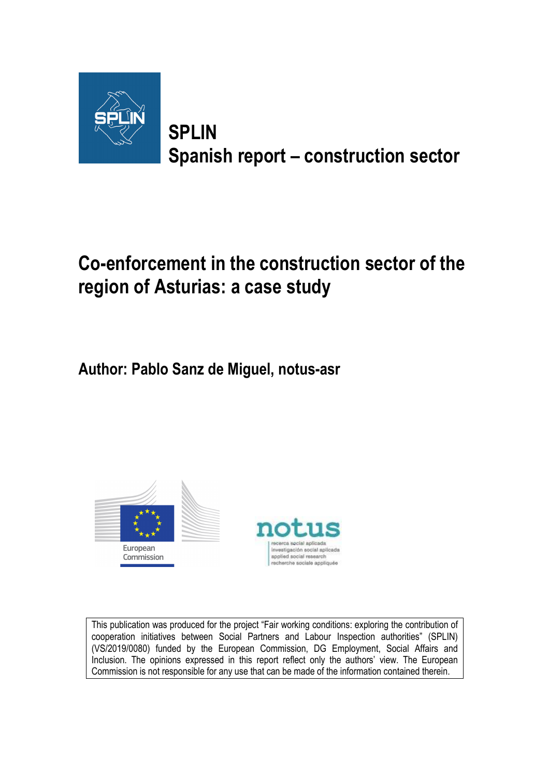

**SPLIN Spanish report – construction sector** 

# **Co-enforcement in the construction sector of the region of Asturias: a case study**

**Author: Pablo Sanz de Miguel, notus-asr** 





This publication was produced for the project "Fair working conditions: exploring the contribution of cooperation initiatives between Social Partners and Labour Inspection authorities" (SPLIN) (VS/2019/0080) funded by the European Commission, DG Employment, Social Affairs and Inclusion. The opinions expressed in this report reflect only the authors' view. The European Commission is not responsible for any use that can be made of the information contained therein.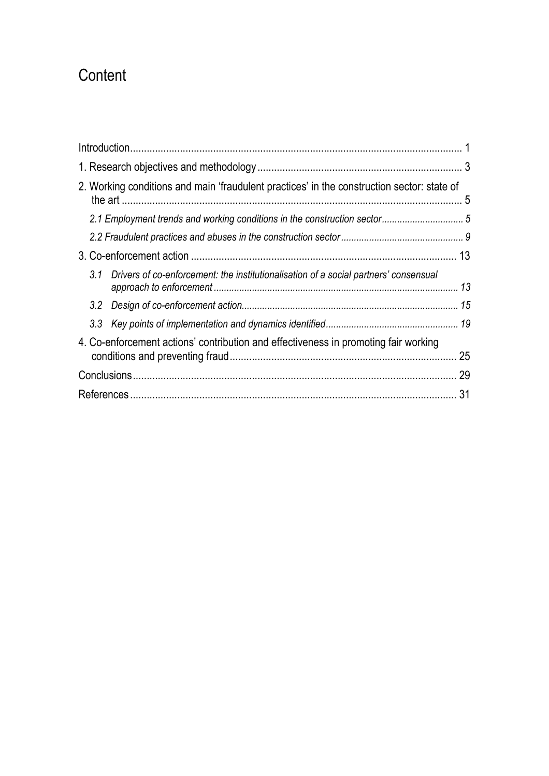# **Content**

| 2. Working conditions and main 'fraudulent practices' in the construction sector: state of  |    |
|---------------------------------------------------------------------------------------------|----|
|                                                                                             |    |
|                                                                                             |    |
|                                                                                             |    |
| 3.1<br>Drivers of co-enforcement: the institutionalisation of a social partners' consensual |    |
|                                                                                             |    |
|                                                                                             |    |
| 4. Co-enforcement actions' contribution and effectiveness in promoting fair working         | 25 |
|                                                                                             |    |
|                                                                                             | 31 |
|                                                                                             |    |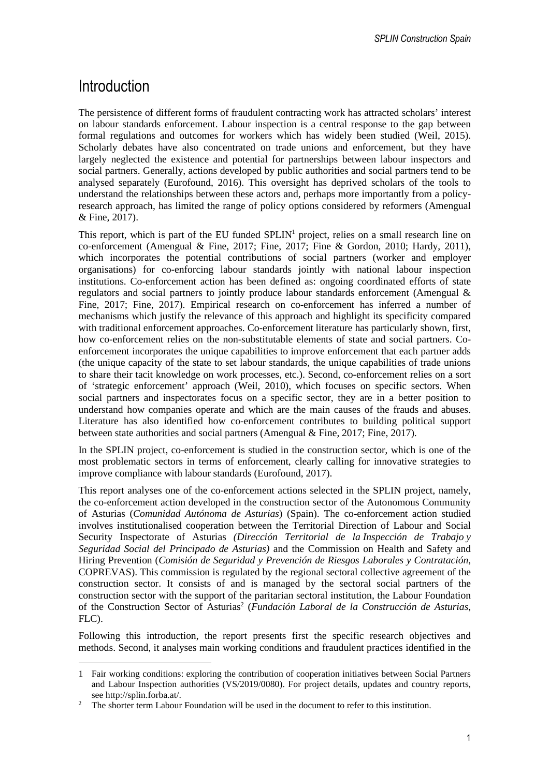## **Introduction**

The persistence of different forms of fraudulent contracting work has attracted scholars' interest on labour standards enforcement. Labour inspection is a central response to the gap between formal regulations and outcomes for workers which has widely been studied (Weil, 2015). Scholarly debates have also concentrated on trade unions and enforcement, but they have largely neglected the existence and potential for partnerships between labour inspectors and social partners. Generally, actions developed by public authorities and social partners tend to be analysed separately (Eurofound, 2016). This oversight has deprived scholars of the tools to understand the relationships between these actors and, perhaps more importantly from a policyresearch approach, has limited the range of policy options considered by reformers (Amengual & Fine, 2017).

This report, which is part of the EU funded SPLIN<sup>1</sup> project, relies on a small research line on co-enforcement (Amengual & Fine, 2017; Fine, 2017; Fine & Gordon, 2010; Hardy, 2011), which incorporates the potential contributions of social partners (worker and employer organisations) for co-enforcing labour standards jointly with national labour inspection institutions. Co-enforcement action has been defined as: ongoing coordinated efforts of state regulators and social partners to jointly produce labour standards enforcement (Amengual & Fine, 2017; Fine, 2017). Empirical research on co-enforcement has inferred a number of mechanisms which justify the relevance of this approach and highlight its specificity compared with traditional enforcement approaches. Co-enforcement literature has particularly shown, first, how co-enforcement relies on the non-substitutable elements of state and social partners. Coenforcement incorporates the unique capabilities to improve enforcement that each partner adds (the unique capacity of the state to set labour standards, the unique capabilities of trade unions to share their tacit knowledge on work processes, etc.). Second, co-enforcement relies on a sort of 'strategic enforcement' approach (Weil, 2010), which focuses on specific sectors. When social partners and inspectorates focus on a specific sector, they are in a better position to understand how companies operate and which are the main causes of the frauds and abuses. Literature has also identified how co-enforcement contributes to building political support between state authorities and social partners (Amengual & Fine, 2017; Fine, 2017).

In the SPLIN project, co-enforcement is studied in the construction sector, which is one of the most problematic sectors in terms of enforcement, clearly calling for innovative strategies to improve compliance with labour standards (Eurofound, 2017).

This report analyses one of the co-enforcement actions selected in the SPLIN project, namely, the co-enforcement action developed in the construction sector of the Autonomous Community of Asturias (*Comunidad Autónoma de Asturias*) (Spain). The co-enforcement action studied involves institutionalised cooperation between the Territorial Direction of Labour and Social Security Inspectorate of Asturias *(Dirección Territorial de la Inspección de Trabajo y Seguridad Social del Principado de Asturias)* and the Commission on Health and Safety and Hiring Prevention (*Comisión de Seguridad y Prevención de Riesgos Laborales y Contratación*, COPREVAS). This commission is regulated by the regional sectoral collective agreement of the construction sector. It consists of and is managed by the sectoral social partners of the construction sector with the support of the paritarian sectoral institution, the Labour Foundation of the Construction Sector of Asturias<sup>2</sup> (*Fundación Laboral de la Construcción de Asturias*, FLC).

Following this introduction, the report presents first the specific research objectives and methods. Second, it analyses main working conditions and fraudulent practices identified in the

<sup>1</sup> Fair working conditions: exploring the contribution of cooperation initiatives between Social Partners and Labour Inspection authorities (VS/2019/0080). For project details, updates and country reports, see http://splin.forba.at/.

<sup>2</sup> The shorter term Labour Foundation will be used in the document to refer to this institution.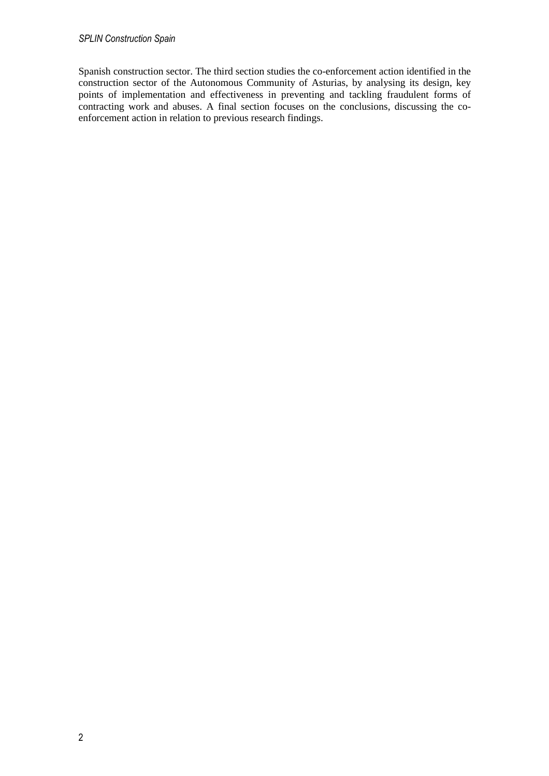#### *SPLIN Construction Spain*

Spanish construction sector. The third section studies the co-enforcement action identified in the construction sector of the Autonomous Community of Asturias, by analysing its design, key points of implementation and effectiveness in preventing and tackling fraudulent forms of contracting work and abuses. A final section focuses on the conclusions, discussing the coenforcement action in relation to previous research findings.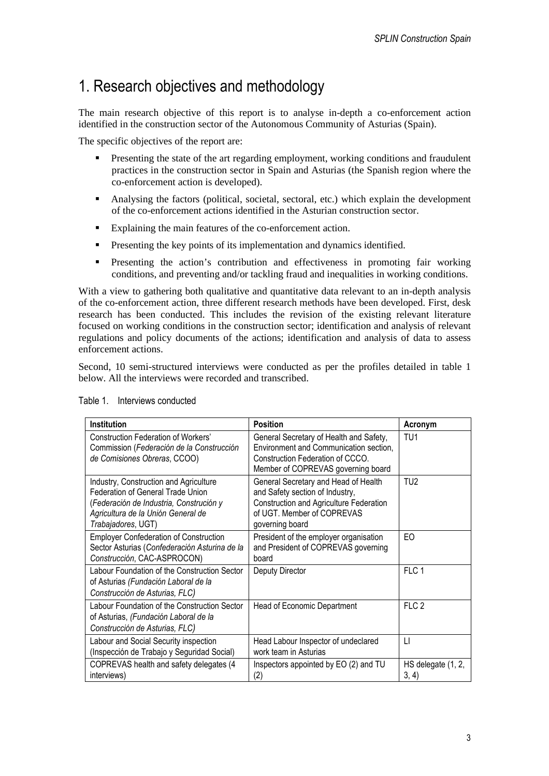### 1. Research objectives and methodology

The main research objective of this report is to analyse in-depth a co-enforcement action identified in the construction sector of the Autonomous Community of Asturias (Spain).

The specific objectives of the report are:

- Presenting the state of the art regarding employment, working conditions and fraudulent practices in the construction sector in Spain and Asturias (the Spanish region where the co-enforcement action is developed).
- Analysing the factors (political, societal, sectoral, etc.) which explain the development of the co-enforcement actions identified in the Asturian construction sector.
- Explaining the main features of the co-enforcement action.
- **•** Presenting the key points of its implementation and dynamics identified.
- Presenting the action's contribution and effectiveness in promoting fair working conditions, and preventing and/or tackling fraud and inequalities in working conditions.

With a view to gathering both qualitative and quantitative data relevant to an in-depth analysis of the co-enforcement action, three different research methods have been developed. First, desk research has been conducted. This includes the revision of the existing relevant literature focused on working conditions in the construction sector; identification and analysis of relevant regulations and policy documents of the actions; identification and analysis of data to assess enforcement actions.

Second, 10 semi-structured interviews were conducted as per the profiles detailed in table 1 below. All the interviews were recorded and transcribed.

| <b>Institution</b>                                                                                                                                                                 | <b>Position</b>                                                                                                                                                     | Acronym                     |
|------------------------------------------------------------------------------------------------------------------------------------------------------------------------------------|---------------------------------------------------------------------------------------------------------------------------------------------------------------------|-----------------------------|
| Construction Federation of Workers'<br>Commission (Federación de la Construcción<br>de Comisiones Obreras, CCOO)                                                                   | General Secretary of Health and Safety,<br>Environment and Communication section,<br>Construction Federation of CCCO.<br>Member of COPREVAS governing board         | TU1                         |
| Industry, Construction and Agriculture<br>Federation of General Trade Union<br>(Federación de Industria, Construción y<br>Agricultura de la Unión General de<br>Trabajadores, UGT) | General Secretary and Head of Health<br>and Safety section of Industry,<br>Construction and Agriculture Federation<br>of UGT. Member of COPREVAS<br>governing board | TU <sub>2</sub>             |
| <b>Employer Confederation of Construction</b><br>Sector Asturias (Confederación Asturina de la<br>Construcción, CAC-ASPROCON)                                                      | President of the employer organisation<br>and President of COPREVAS governing<br>board                                                                              | EO                          |
| Labour Foundation of the Construction Sector<br>of Asturias (Fundación Laboral de la<br>Construcción de Asturias, FLC)                                                             | Deputy Director                                                                                                                                                     | FLC 1                       |
| Labour Foundation of the Construction Sector<br>of Asturias, (Fundación Laboral de la<br>Construcción de Asturias, FLC)                                                            | Head of Economic Department                                                                                                                                         | FLC <sub>2</sub>            |
| Labour and Social Security inspection<br>(Inspección de Trabajo y Seguridad Social)                                                                                                | Head Labour Inspector of undeclared<br>work team in Asturias                                                                                                        | $\Box$                      |
| COPREVAS health and safety delegates (4<br>interviews)                                                                                                                             | Inspectors appointed by EO (2) and TU<br>(2)                                                                                                                        | HS delegate (1, 2,<br>3, 4) |

Table 1. Interviews conducted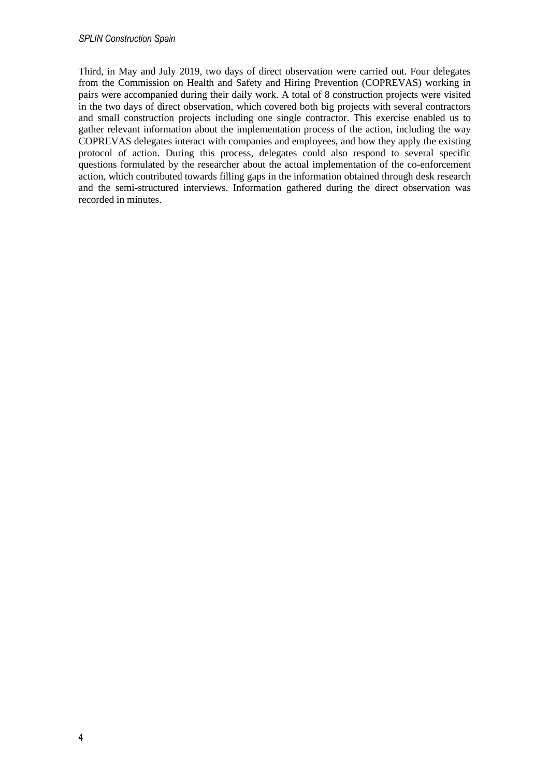Third, in May and July 2019, two days of direct observation were carried out. Four delegates from the Commission on Health and Safety and Hiring Prevention (COPREVAS) working in pairs were accompanied during their daily work. A total of 8 construction projects were visited in the two days of direct observation, which covered both big projects with several contractors and small construction projects including one single contractor. This exercise enabled us to gather relevant information about the implementation process of the action, including the way COPREVAS delegates interact with companies and employees, and how they apply the existing protocol of action. During this process, delegates could also respond to several specific questions formulated by the researcher about the actual implementation of the co-enforcement action, which contributed towards filling gaps in the information obtained through desk research and the semi-structured interviews. Information gathered during the direct observation was recorded in minutes.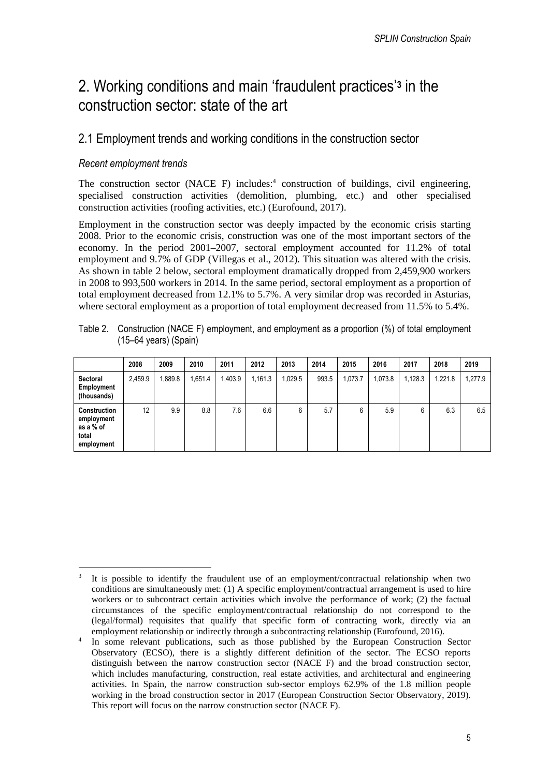## 2. Working conditions and main 'fraudulent practices'**<sup>3</sup>** in the construction sector: state of the art

### 2.1 Employment trends and working conditions in the construction sector

### *Recent employment trends*

The construction sector (NACE F) includes:<sup>4</sup> construction of buildings, civil engineering, specialised construction activities (demolition, plumbing, etc.) and other specialised construction activities (roofing activities, etc.) (Eurofound, 2017).

Employment in the construction sector was deeply impacted by the economic crisis starting 2008. Prior to the economic crisis, construction was one of the most important sectors of the economy. In the period 2001–2007, sectoral employment accounted for 11.2% of total employment and 9.7% of GDP (Villegas et al., 2012). This situation was altered with the crisis. As shown in table 2 below, sectoral employment dramatically dropped from 2,459,900 workers in 2008 to 993,500 workers in 2014. In the same period, sectoral employment as a proportion of total employment decreased from 12.1% to 5.7%. A very similar drop was recorded in Asturias, where sectoral employment as a proportion of total employment decreased from 11.5% to 5.4%.

|                                                                       | 2008    | 2009  | 2010    | 2011    | 2012    | 2013    | 2014  | 2015    | 2016    | 2017    | 2018    | 2019    |
|-----------------------------------------------------------------------|---------|-------|---------|---------|---------|---------|-------|---------|---------|---------|---------|---------|
| Sectoral<br>Employment<br>(thousands)                                 | 2,459.9 | 889.8 | 1,651.4 | 1,403.9 | 1,161.3 | 1,029.5 | 993.5 | 1.073.7 | 1,073.8 | 1,128.3 | 1,221.8 | 1,277.9 |
| <b>Construction</b><br>employment<br>as a % of<br>total<br>employment | 12      | 9.9   | 8.8     | 7.6     | 6.6     | 6       | 5.7   | 6       | 5.9     | 6       | 6.3     | 6.5     |

Table 2. Construction (NACE F) employment, and employment as a proportion (%) of total employment (15–64 years) (Spain)

<sup>3</sup> It is possible to identify the fraudulent use of an employment/contractual relationship when two conditions are simultaneously met: (1) A specific employment/contractual arrangement is used to hire workers or to subcontract certain activities which involve the performance of work; (2) the factual circumstances of the specific employment/contractual relationship do not correspond to the (legal/formal) requisites that qualify that specific form of contracting work, directly via an employment relationship or indirectly through a subcontracting relationship (Eurofound, 2016).

<sup>4</sup> In some relevant publications, such as those published by the European Construction Sector Observatory (ECSO), there is a slightly different definition of the sector. The ECSO reports distinguish between the narrow construction sector (NACE F) and the broad construction sector, which includes manufacturing, construction, real estate activities, and architectural and engineering activities. In Spain, the narrow construction sub-sector employs 62.9% of the 1.8 million people working in the broad construction sector in 2017 (European Construction Sector Observatory, 2019). This report will focus on the narrow construction sector (NACE F).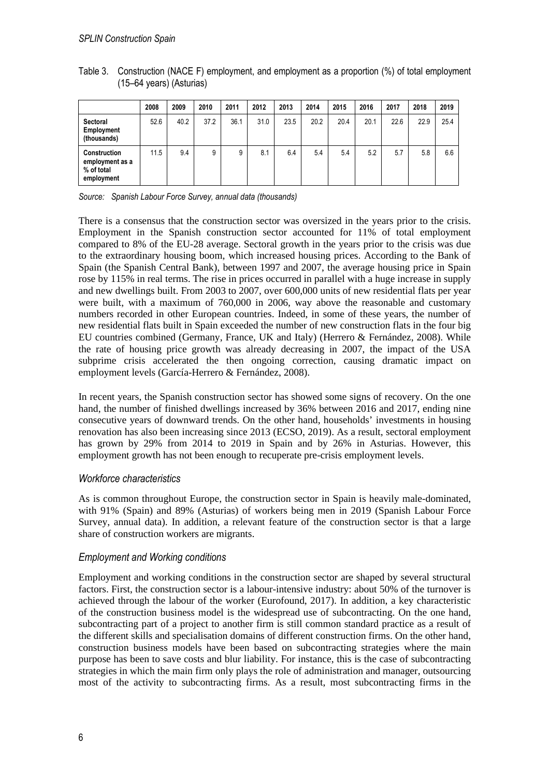|                                                             | 2008 | 2009 | 2010 | 2011 | 2012 | 2013 | 2014 | 2015 | 2016 | 2017 | 2018 | 2019 |
|-------------------------------------------------------------|------|------|------|------|------|------|------|------|------|------|------|------|
| Sectoral<br>Employment<br>(thousands)                       | 52.6 | 40.2 | 37.2 | 36.1 | 31.0 | 23.5 | 20.2 | 20.4 | 20.1 | 22.6 | 22.9 | 25.4 |
| Construction<br>employment as a<br>% of total<br>employment | 11.5 | 9.4  | 9    | 9    | 8.1  | 6.4  | 5.4  | 5.4  | 5.2  | 5.7  | 5.8  | 6.6  |

Table 3. Construction (NACE F) employment, and employment as a proportion (%) of total employment (15–64 years) (Asturias)

*Source: Spanish Labour Force Survey, annual data (thousands)* 

There is a consensus that the construction sector was oversized in the years prior to the crisis. Employment in the Spanish construction sector accounted for 11% of total employment compared to 8% of the EU-28 average. Sectoral growth in the years prior to the crisis was due to the extraordinary housing boom, which increased housing prices. According to the Bank of Spain (the Spanish Central Bank), between 1997 and 2007, the average housing price in Spain rose by 115% in real terms. The rise in prices occurred in parallel with a huge increase in supply and new dwellings built. From 2003 to 2007, over 600,000 units of new residential flats per year were built, with a maximum of 760,000 in 2006, way above the reasonable and customary numbers recorded in other European countries. Indeed, in some of these years, the number of new residential flats built in Spain exceeded the number of new construction flats in the four big EU countries combined (Germany, France, UK and Italy) (Herrero & Fernández, 2008). While the rate of housing price growth was already decreasing in 2007, the impact of the USA subprime crisis accelerated the then ongoing correction, causing dramatic impact on employment levels (García-Herrero & Fernández, 2008).

In recent years, the Spanish construction sector has showed some signs of recovery. On the one hand, the number of finished dwellings increased by 36% between 2016 and 2017, ending nine consecutive years of downward trends. On the other hand, households' investments in housing renovation has also been increasing since 2013 (ECSO, 2019). As a result, sectoral employment has grown by 29% from 2014 to 2019 in Spain and by 26% in Asturias. However, this employment growth has not been enough to recuperate pre-crisis employment levels.

#### *Workforce characteristics*

As is common throughout Europe, the construction sector in Spain is heavily male-dominated, with 91% (Spain) and 89% (Asturias) of workers being men in 2019 (Spanish Labour Force Survey, annual data). In addition, a relevant feature of the construction sector is that a large share of construction workers are migrants.

### *Employment and Working conditions*

Employment and working conditions in the construction sector are shaped by several structural factors. First, the construction sector is a labour-intensive industry: about 50% of the turnover is achieved through the labour of the worker (Eurofound, 2017). In addition, a key characteristic of the construction business model is the widespread use of subcontracting. On the one hand, subcontracting part of a project to another firm is still common standard practice as a result of the different skills and specialisation domains of different construction firms. On the other hand, construction business models have been based on subcontracting strategies where the main purpose has been to save costs and blur liability. For instance, this is the case of subcontracting strategies in which the main firm only plays the role of administration and manager, outsourcing most of the activity to subcontracting firms. As a result, most subcontracting firms in the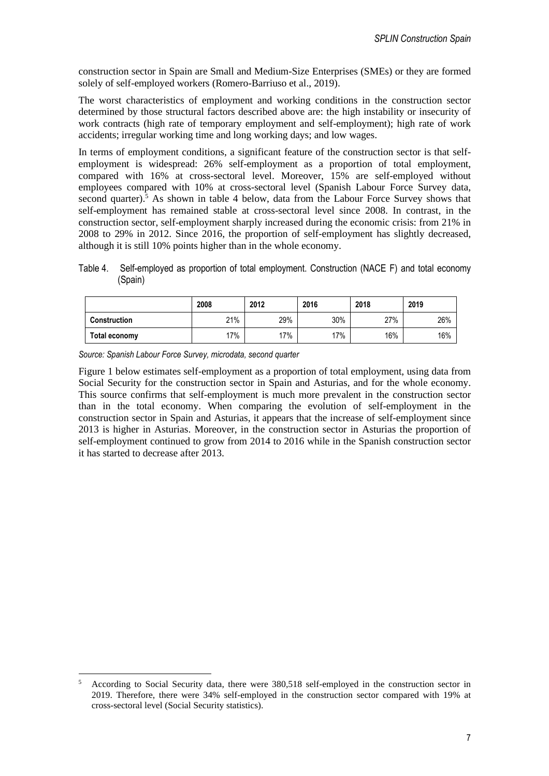construction sector in Spain are Small and Medium-Size Enterprises (SMEs) or they are formed solely of self-employed workers (Romero-Barriuso et al., 2019).

The worst characteristics of employment and working conditions in the construction sector determined by those structural factors described above are: the high instability or insecurity of work contracts (high rate of temporary employment and self-employment); high rate of work accidents; irregular working time and long working days; and low wages.

In terms of employment conditions, a significant feature of the construction sector is that selfemployment is widespread: 26% self-employment as a proportion of total employment, compared with 16% at cross-sectoral level. Moreover, 15% are self-employed without employees compared with 10% at cross-sectoral level (Spanish Labour Force Survey data, second quarter).<sup>5</sup> As shown in table 4 below, data from the Labour Force Survey shows that self-employment has remained stable at cross-sectoral level since 2008. In contrast, in the construction sector, self-employment sharply increased during the economic crisis: from 21% in 2008 to 29% in 2012. Since 2016, the proportion of self-employment has slightly decreased, although it is still 10% points higher than in the whole economy.

Table 4. Self-employed as proportion of total employment. Construction (NACE F) and total economy (Spain)

|                     | 2008 | 2012 | 2016 | 2018 | 2019 |
|---------------------|------|------|------|------|------|
| <b>Construction</b> | 21%  | 29%  | 30%  | 27%  | 26%  |
| Total economy       | 17%  | 17%  | 17%  | 16%  | 16%  |

*Source: Spanish Labour Force Survey, microdata, second quarter* 

Figure 1 below estimates self-employment as a proportion of total employment, using data from Social Security for the construction sector in Spain and Asturias, and for the whole economy. This source confirms that self-employment is much more prevalent in the construction sector than in the total economy. When comparing the evolution of self-employment in the construction sector in Spain and Asturias, it appears that the increase of self-employment since 2013 is higher in Asturias. Moreover, in the construction sector in Asturias the proportion of self-employment continued to grow from 2014 to 2016 while in the Spanish construction sector it has started to decrease after 2013.

<sup>5</sup> According to Social Security data, there were 380,518 self-employed in the construction sector in 2019. Therefore, there were 34% self-employed in the construction sector compared with 19% at cross-sectoral level (Social Security statistics).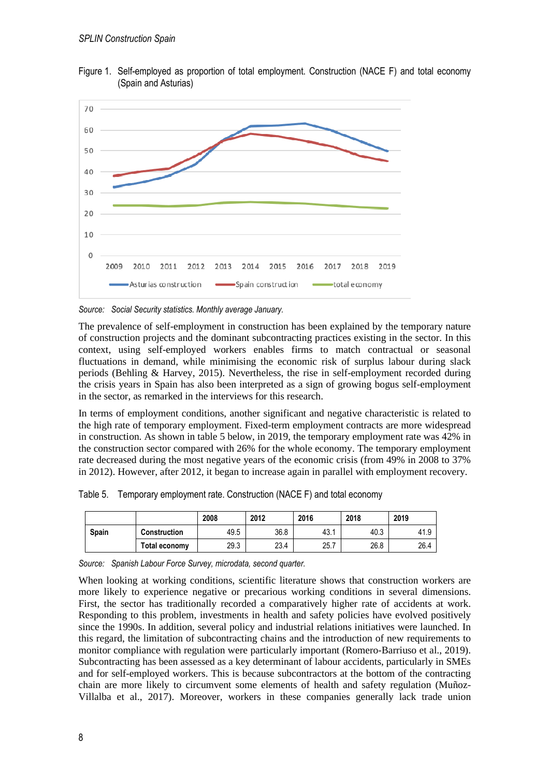

Figure 1. Self-employed as proportion of total employment. Construction (NACE F) and total economy (Spain and Asturias)

*Source: Social Security statistics. Monthly average January.* 

The prevalence of self-employment in construction has been explained by the temporary nature of construction projects and the dominant subcontracting practices existing in the sector. In this context, using self-employed workers enables firms to match contractual or seasonal fluctuations in demand, while minimising the economic risk of surplus labour during slack periods (Behling & Harvey, 2015). Nevertheless, the rise in self-employment recorded during the crisis years in Spain has also been interpreted as a sign of growing bogus self-employment in the sector, as remarked in the interviews for this research.

In terms of employment conditions, another significant and negative characteristic is related to the high rate of temporary employment. Fixed-term employment contracts are more widespread in construction. As shown in table 5 below, in 2019, the temporary employment rate was 42% in the construction sector compared with 26% for the whole economy. The temporary employment rate decreased during the most negative years of the economic crisis (from 49% in 2008 to 37% in 2012). However, after 2012, it began to increase again in parallel with employment recovery.

Table 5. Temporary employment rate. Construction (NACE F) and total economy

|              |               | 2008 | 2012 | 2016  | 2018 | 2019 |
|--------------|---------------|------|------|-------|------|------|
| <b>Spain</b> | Construction  | 49.5 | 36.8 | 43. . | 40.3 | 41.9 |
|              | Total economy | 29.3 | 23.4 | 25.7  | 26.8 | 26.4 |

*Source: Spanish Labour Force Survey, microdata, second quarter.* 

When looking at working conditions, scientific literature shows that construction workers are more likely to experience negative or precarious working conditions in several dimensions. First, the sector has traditionally recorded a comparatively higher rate of accidents at work. Responding to this problem, investments in health and safety policies have evolved positively since the 1990s. In addition, several policy and industrial relations initiatives were launched. In this regard, the limitation of subcontracting chains and the introduction of new requirements to monitor compliance with regulation were particularly important (Romero-Barriuso et al., 2019). Subcontracting has been assessed as a key determinant of labour accidents, particularly in SMEs and for self-employed workers. This is because subcontractors at the bottom of the contracting chain are more likely to circumvent some elements of health and safety regulation (Muñoz-Villalba et al., 2017). Moreover, workers in these companies generally lack trade union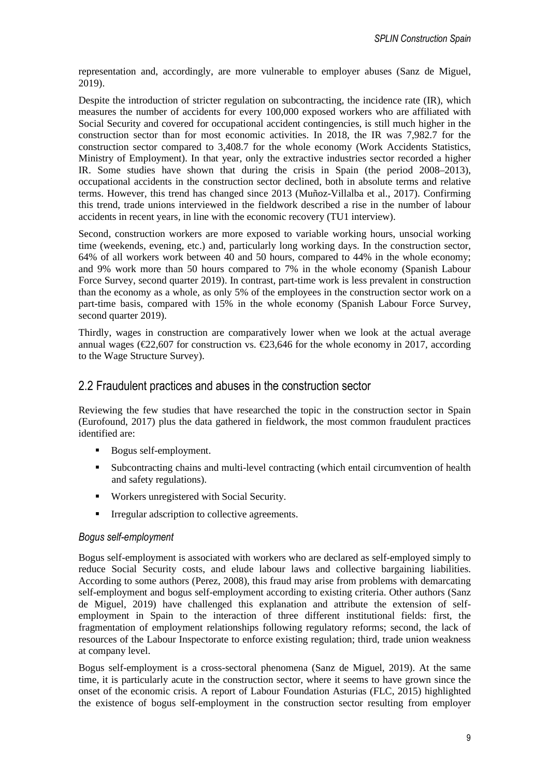representation and, accordingly, are more vulnerable to employer abuses (Sanz de Miguel, 2019).

Despite the introduction of stricter regulation on subcontracting, the incidence rate (IR), which measures the number of accidents for every 100,000 exposed workers who are affiliated with Social Security and covered for occupational accident contingencies, is still much higher in the construction sector than for most economic activities. In 2018, the IR was 7,982.7 for the construction sector compared to 3,408.7 for the whole economy (Work Accidents Statistics, Ministry of Employment). In that year, only the extractive industries sector recorded a higher IR. Some studies have shown that during the crisis in Spain (the period 2008–2013), occupational accidents in the construction sector declined, both in absolute terms and relative terms. However, this trend has changed since 2013 (Muñoz-Villalba et al., 2017). Confirming this trend, trade unions interviewed in the fieldwork described a rise in the number of labour accidents in recent years, in line with the economic recovery (TU1 interview).

Second, construction workers are more exposed to variable working hours, unsocial working time (weekends, evening, etc.) and, particularly long working days. In the construction sector, 64% of all workers work between 40 and 50 hours, compared to 44% in the whole economy; and 9% work more than 50 hours compared to 7% in the whole economy (Spanish Labour Force Survey, second quarter 2019). In contrast, part-time work is less prevalent in construction than the economy as a whole, as only 5% of the employees in the construction sector work on a part-time basis, compared with 15% in the whole economy (Spanish Labour Force Survey, second quarter 2019).

Thirdly, wages in construction are comparatively lower when we look at the actual average annual wages ( $\epsilon$ 2,607 for construction vs.  $\epsilon$ 23,646 for the whole economy in 2017, according to the Wage Structure Survey).

### 2.2 Fraudulent practices and abuses in the construction sector

Reviewing the few studies that have researched the topic in the construction sector in Spain (Eurofound, 2017) plus the data gathered in fieldwork, the most common fraudulent practices identified are:

- Bogus self-employment.
- Subcontracting chains and multi-level contracting (which entail circumvention of health and safety regulations).
- Workers unregistered with Social Security.
- **IFFERENT IFFERENT IFFERENT IFFERENT** IFFERENT IFFERENT IFFERENT IFFERENT IFFERENT IFFERENT IFFERENT IFFERENT IFFERENT IFFERENT IFFERENT IFFERENT IFFERENT IFFERENT IFFERENT IFFERENT IFFERENT IFFERENT IFFERENT IFFERENT IFFE

#### *Bogus self-employment*

Bogus self-employment is associated with workers who are declared as self-employed simply to reduce Social Security costs, and elude labour laws and collective bargaining liabilities. According to some authors (Perez, 2008), this fraud may arise from problems with demarcating self-employment and bogus self-employment according to existing criteria. Other authors (Sanz de Miguel, 2019) have challenged this explanation and attribute the extension of selfemployment in Spain to the interaction of three different institutional fields: first, the fragmentation of employment relationships following regulatory reforms; second, the lack of resources of the Labour Inspectorate to enforce existing regulation; third, trade union weakness at company level.

Bogus self-employment is a cross-sectoral phenomena (Sanz de Miguel, 2019). At the same time, it is particularly acute in the construction sector, where it seems to have grown since the onset of the economic crisis. A report of Labour Foundation Asturias (FLC, 2015) highlighted the existence of bogus self-employment in the construction sector resulting from employer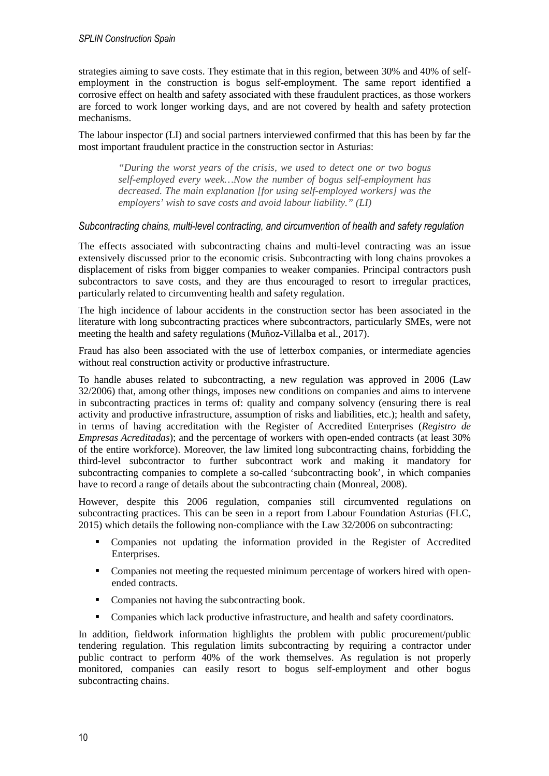strategies aiming to save costs. They estimate that in this region, between 30% and 40% of selfemployment in the construction is bogus self-employment. The same report identified a corrosive effect on health and safety associated with these fraudulent practices, as those workers are forced to work longer working days, and are not covered by health and safety protection mechanisms.

The labour inspector (LI) and social partners interviewed confirmed that this has been by far the most important fraudulent practice in the construction sector in Asturias:

*"During the worst years of the crisis, we used to detect one or two bogus self-employed every week…Now the number of bogus self-employment has decreased. The main explanation [for using self-employed workers] was the employers' wish to save costs and avoid labour liability." (LI)* 

#### *Subcontracting chains, multi-level contracting, and circumvention of health and safety regulation*

The effects associated with subcontracting chains and multi-level contracting was an issue extensively discussed prior to the economic crisis. Subcontracting with long chains provokes a displacement of risks from bigger companies to weaker companies. Principal contractors push subcontractors to save costs, and they are thus encouraged to resort to irregular practices, particularly related to circumventing health and safety regulation.

The high incidence of labour accidents in the construction sector has been associated in the literature with long subcontracting practices where subcontractors, particularly SMEs, were not meeting the health and safety regulations (Muñoz-Villalba et al., 2017).

Fraud has also been associated with the use of letterbox companies, or intermediate agencies without real construction activity or productive infrastructure.

To handle abuses related to subcontracting, a new regulation was approved in 2006 (Law 32/2006) that, among other things, imposes new conditions on companies and aims to intervene in subcontracting practices in terms of: quality and company solvency (ensuring there is real activity and productive infrastructure, assumption of risks and liabilities, etc.); health and safety, in terms of having accreditation with the Register of Accredited Enterprises (*Registro de Empresas Acreditadas*); and the percentage of workers with open-ended contracts (at least 30% of the entire workforce). Moreover, the law limited long subcontracting chains, forbidding the third-level subcontractor to further subcontract work and making it mandatory for subcontracting companies to complete a so-called 'subcontracting book', in which companies have to record a range of details about the subcontracting chain (Monreal, 2008).

However, despite this 2006 regulation, companies still circumvented regulations on subcontracting practices. This can be seen in a report from Labour Foundation Asturias (FLC, 2015) which details the following non-compliance with the Law 32/2006 on subcontracting:

- Companies not updating the information provided in the Register of Accredited Enterprises.
- Companies not meeting the requested minimum percentage of workers hired with openended contracts.
- Companies not having the subcontracting book.
- Companies which lack productive infrastructure, and health and safety coordinators.

In addition, fieldwork information highlights the problem with public procurement/public tendering regulation. This regulation limits subcontracting by requiring a contractor under public contract to perform 40% of the work themselves. As regulation is not properly monitored, companies can easily resort to bogus self-employment and other bogus subcontracting chains.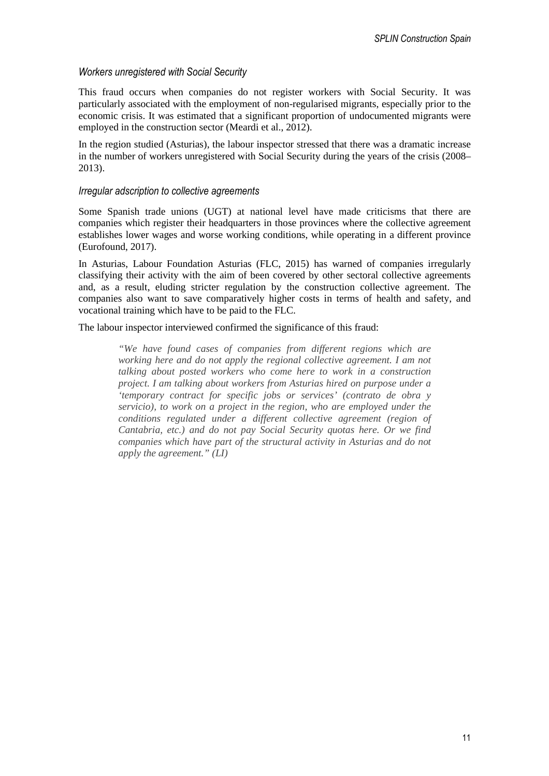### *Workers unregistered with Social Security*

This fraud occurs when companies do not register workers with Social Security. It was particularly associated with the employment of non-regularised migrants, especially prior to the economic crisis. It was estimated that a significant proportion of undocumented migrants were employed in the construction sector (Meardi et al., 2012).

In the region studied (Asturias), the labour inspector stressed that there was a dramatic increase in the number of workers unregistered with Social Security during the years of the crisis (2008– 2013).

#### *Irregular adscription to collective agreements*

Some Spanish trade unions (UGT) at national level have made criticisms that there are companies which register their headquarters in those provinces where the collective agreement establishes lower wages and worse working conditions, while operating in a different province (Eurofound, 2017).

In Asturias, Labour Foundation Asturias (FLC, 2015) has warned of companies irregularly classifying their activity with the aim of been covered by other sectoral collective agreements and, as a result, eluding stricter regulation by the construction collective agreement. The companies also want to save comparatively higher costs in terms of health and safety, and vocational training which have to be paid to the FLC.

The labour inspector interviewed confirmed the significance of this fraud:

*"We have found cases of companies from different regions which are working here and do not apply the regional collective agreement. I am not talking about posted workers who come here to work in a construction project. I am talking about workers from Asturias hired on purpose under a 'temporary contract for specific jobs or services' (contrato de obra y servicio), to work on a project in the region, who are employed under the conditions regulated under a different collective agreement (region of Cantabria, etc.) and do not pay Social Security quotas here. Or we find companies which have part of the structural activity in Asturias and do not apply the agreement." (LI)*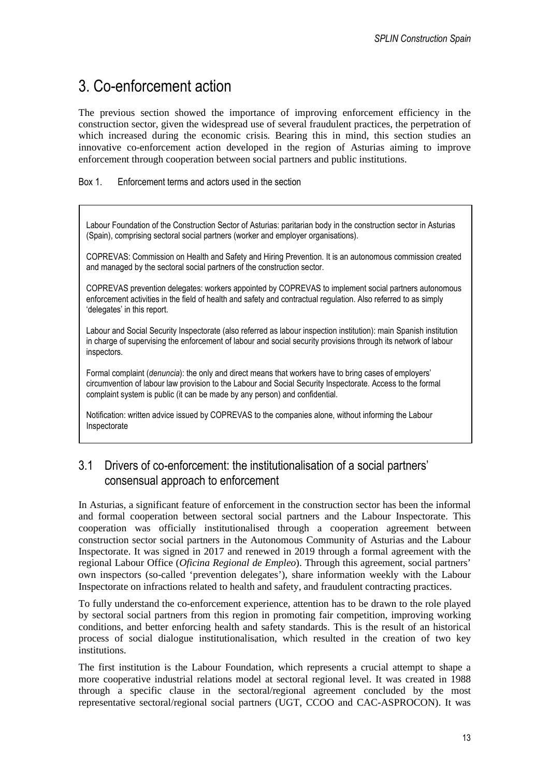# 3. Co-enforcement action

The previous section showed the importance of improving enforcement efficiency in the construction sector, given the widespread use of several fraudulent practices, the perpetration of which increased during the economic crisis. Bearing this in mind, this section studies an innovative co-enforcement action developed in the region of Asturias aiming to improve enforcement through cooperation between social partners and public institutions.

Box 1. Enforcement terms and actors used in the section

Labour Foundation of the Construction Sector of Asturias: paritarian body in the construction sector in Asturias (Spain), comprising sectoral social partners (worker and employer organisations).

COPREVAS: Commission on Health and Safety and Hiring Prevention. It is an autonomous commission created and managed by the sectoral social partners of the construction sector.

COPREVAS prevention delegates: workers appointed by COPREVAS to implement social partners autonomous enforcement activities in the field of health and safety and contractual regulation. Also referred to as simply 'delegates' in this report.

Labour and Social Security Inspectorate (also referred as labour inspection institution): main Spanish institution in charge of supervising the enforcement of labour and social security provisions through its network of labour inspectors.

Formal complaint (*denuncia*): the only and direct means that workers have to bring cases of employers' circumvention of labour law provision to the Labour and Social Security Inspectorate. Access to the formal complaint system is public (it can be made by any person) and confidential.

Notification: written advice issued by COPREVAS to the companies alone, without informing the Labour Inspectorate

### 3.1 Drivers of co-enforcement: the institutionalisation of a social partners' consensual approach to enforcement

In Asturias, a significant feature of enforcement in the construction sector has been the informal and formal cooperation between sectoral social partners and the Labour Inspectorate. This cooperation was officially institutionalised through a cooperation agreement between construction sector social partners in the Autonomous Community of Asturias and the Labour Inspectorate. It was signed in 2017 and renewed in 2019 through a formal agreement with the regional Labour Office (*Oficina Regional de Empleo*). Through this agreement, social partners' own inspectors (so-called 'prevention delegates'), share information weekly with the Labour Inspectorate on infractions related to health and safety, and fraudulent contracting practices.

To fully understand the co-enforcement experience, attention has to be drawn to the role played by sectoral social partners from this region in promoting fair competition, improving working conditions, and better enforcing health and safety standards. This is the result of an historical process of social dialogue institutionalisation, which resulted in the creation of two key institutions.

The first institution is the Labour Foundation, which represents a crucial attempt to shape a more cooperative industrial relations model at sectoral regional level. It was created in 1988 through a specific clause in the sectoral/regional agreement concluded by the most representative sectoral/regional social partners (UGT, CCOO and CAC-ASPROCON). It was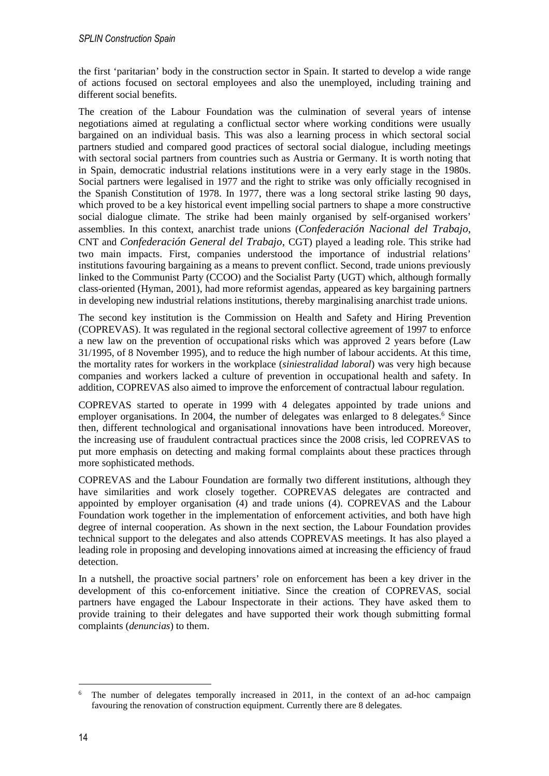the first 'paritarian' body in the construction sector in Spain. It started to develop a wide range of actions focused on sectoral employees and also the unemployed, including training and different social benefits.

The creation of the Labour Foundation was the culmination of several years of intense negotiations aimed at regulating a conflictual sector where working conditions were usually bargained on an individual basis. This was also a learning process in which sectoral social partners studied and compared good practices of sectoral social dialogue, including meetings with sectoral social partners from countries such as Austria or Germany. It is worth noting that in Spain, democratic industrial relations institutions were in a very early stage in the 1980s. Social partners were legalised in 1977 and the right to strike was only officially recognised in the Spanish Constitution of 1978. In 1977, there was a long sectoral strike lasting 90 days, which proved to be a key historical event impelling social partners to shape a more constructive social dialogue climate. The strike had been mainly organised by self-organised workers' assemblies. In this context, anarchist trade unions (*Confederación Nacional del Trabajo,* CNT and *Confederación General del Trabajo*, CGT) played a leading role. This strike had two main impacts. First, companies understood the importance of industrial relations' institutions favouring bargaining as a means to prevent conflict. Second, trade unions previously linked to the Communist Party (CCOO) and the Socialist Party (UGT) which, although formally class-oriented (Hyman, 2001), had more reformist agendas, appeared as key bargaining partners in developing new industrial relations institutions, thereby marginalising anarchist trade unions.

The second key institution is the Commission on Health and Safety and Hiring Prevention (COPREVAS). It was regulated in the regional sectoral collective agreement of 1997 to enforce a new law on the prevention of occupational risks which was approved 2 years before (Law 31/1995, of 8 November 1995), and to reduce the high number of labour accidents. At this time, the mortality rates for workers in the workplace (*siniestralidad laboral*) was very high because companies and workers lacked a culture of prevention in occupational health and safety. In addition, COPREVAS also aimed to improve the enforcement of contractual labour regulation.

COPREVAS started to operate in 1999 with 4 delegates appointed by trade unions and employer organisations. In 2004, the number of delegates was enlarged to 8 delegates.<sup>6</sup> Since then, different technological and organisational innovations have been introduced. Moreover, the increasing use of fraudulent contractual practices since the 2008 crisis, led COPREVAS to put more emphasis on detecting and making formal complaints about these practices through more sophisticated methods.

COPREVAS and the Labour Foundation are formally two different institutions, although they have similarities and work closely together. COPREVAS delegates are contracted and appointed by employer organisation (4) and trade unions (4). COPREVAS and the Labour Foundation work together in the implementation of enforcement activities, and both have high degree of internal cooperation. As shown in the next section, the Labour Foundation provides technical support to the delegates and also attends COPREVAS meetings. It has also played a leading role in proposing and developing innovations aimed at increasing the efficiency of fraud detection.

In a nutshell, the proactive social partners' role on enforcement has been a key driver in the development of this co-enforcement initiative. Since the creation of COPREVAS, social partners have engaged the Labour Inspectorate in their actions. They have asked them to provide training to their delegates and have supported their work though submitting formal complaints (*denuncias*) to them.

<sup>6</sup> The number of delegates temporally increased in 2011, in the context of an ad-hoc campaign favouring the renovation of construction equipment. Currently there are 8 delegates.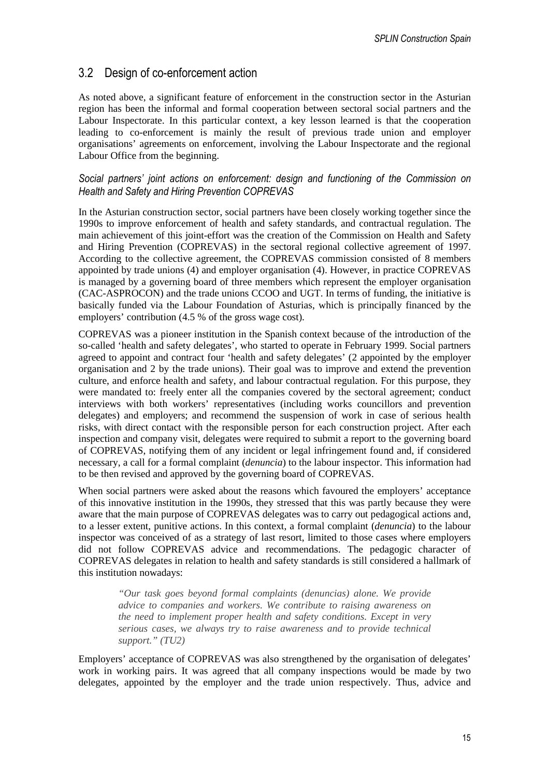### 3.2 Design of co-enforcement action

As noted above, a significant feature of enforcement in the construction sector in the Asturian region has been the informal and formal cooperation between sectoral social partners and the Labour Inspectorate. In this particular context, a key lesson learned is that the cooperation leading to co-enforcement is mainly the result of previous trade union and employer organisations' agreements on enforcement, involving the Labour Inspectorate and the regional Labour Office from the beginning.

#### *Social partners' joint actions on enforcement: design and functioning of the Commission on Health and Safety and Hiring Prevention COPREVAS*

In the Asturian construction sector, social partners have been closely working together since the 1990s to improve enforcement of health and safety standards, and contractual regulation. The main achievement of this joint-effort was the creation of the Commission on Health and Safety and Hiring Prevention (COPREVAS) in the sectoral regional collective agreement of 1997. According to the collective agreement, the COPREVAS commission consisted of 8 members appointed by trade unions (4) and employer organisation (4). However, in practice COPREVAS is managed by a governing board of three members which represent the employer organisation (CAC-ASPROCON) and the trade unions CCOO and UGT. In terms of funding, the initiative is basically funded via the Labour Foundation of Asturias, which is principally financed by the employers' contribution (4.5 % of the gross wage cost).

COPREVAS was a pioneer institution in the Spanish context because of the introduction of the so-called 'health and safety delegates', who started to operate in February 1999. Social partners agreed to appoint and contract four 'health and safety delegates' (2 appointed by the employer organisation and 2 by the trade unions). Their goal was to improve and extend the prevention culture, and enforce health and safety, and labour contractual regulation. For this purpose, they were mandated to: freely enter all the companies covered by the sectoral agreement; conduct interviews with both workers' representatives (including works councillors and prevention delegates) and employers; and recommend the suspension of work in case of serious health risks, with direct contact with the responsible person for each construction project. After each inspection and company visit, delegates were required to submit a report to the governing board of COPREVAS, notifying them of any incident or legal infringement found and, if considered necessary, a call for a formal complaint (*denuncia*) to the labour inspector. This information had to be then revised and approved by the governing board of COPREVAS.

When social partners were asked about the reasons which favoured the employers' acceptance of this innovative institution in the 1990s, they stressed that this was partly because they were aware that the main purpose of COPREVAS delegates was to carry out pedagogical actions and, to a lesser extent, punitive actions. In this context, a formal complaint (*denuncia*) to the labour inspector was conceived of as a strategy of last resort, limited to those cases where employers did not follow COPREVAS advice and recommendations. The pedagogic character of COPREVAS delegates in relation to health and safety standards is still considered a hallmark of this institution nowadays:

*"Our task goes beyond formal complaints (denuncias) alone. We provide advice to companies and workers. We contribute to raising awareness on the need to implement proper health and safety conditions. Except in very serious cases, we always try to raise awareness and to provide technical support." (TU2)* 

Employers' acceptance of COPREVAS was also strengthened by the organisation of delegates' work in working pairs. It was agreed that all company inspections would be made by two delegates, appointed by the employer and the trade union respectively. Thus, advice and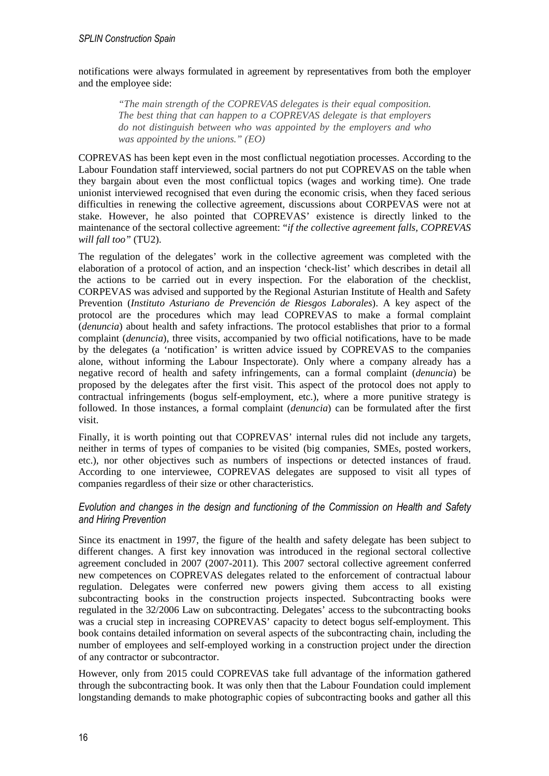notifications were always formulated in agreement by representatives from both the employer and the employee side:

*"The main strength of the COPREVAS delegates is their equal composition. The best thing that can happen to a COPREVAS delegate is that employers do not distinguish between who was appointed by the employers and who was appointed by the unions." (EO)* 

COPREVAS has been kept even in the most conflictual negotiation processes. According to the Labour Foundation staff interviewed, social partners do not put COPREVAS on the table when they bargain about even the most conflictual topics (wages and working time). One trade unionist interviewed recognised that even during the economic crisis, when they faced serious difficulties in renewing the collective agreement, discussions about CORPEVAS were not at stake. However, he also pointed that COPREVAS' existence is directly linked to the maintenance of the sectoral collective agreement: "*if the collective agreement falls, COPREVAS will fall too"* (TU2).

The regulation of the delegates' work in the collective agreement was completed with the elaboration of a protocol of action, and an inspection 'check-list' which describes in detail all the actions to be carried out in every inspection. For the elaboration of the checklist, CORPEVAS was advised and supported by the Regional Asturian Institute of Health and Safety Prevention (*Instituto Asturiano de Prevención de Riesgos Laborales*). A key aspect of the protocol are the procedures which may lead COPREVAS to make a formal complaint (*denuncia*) about health and safety infractions. The protocol establishes that prior to a formal complaint (*denuncia*), three visits, accompanied by two official notifications, have to be made by the delegates (a 'notification' is written advice issued by COPREVAS to the companies alone, without informing the Labour Inspectorate). Only where a company already has a negative record of health and safety infringements, can a formal complaint (*denuncia*) be proposed by the delegates after the first visit. This aspect of the protocol does not apply to contractual infringements (bogus self-employment, etc.), where a more punitive strategy is followed. In those instances, a formal complaint (*denuncia*) can be formulated after the first visit.

Finally, it is worth pointing out that COPREVAS' internal rules did not include any targets, neither in terms of types of companies to be visited (big companies, SMEs, posted workers, etc.), nor other objectives such as numbers of inspections or detected instances of fraud. According to one interviewee, COPREVAS delegates are supposed to visit all types of companies regardless of their size or other characteristics.

### *Evolution and changes in the design and functioning of the Commission on Health and Safety and Hiring Prevention*

Since its enactment in 1997, the figure of the health and safety delegate has been subject to different changes. A first key innovation was introduced in the regional sectoral collective agreement concluded in 2007 (2007-2011). This 2007 sectoral collective agreement conferred new competences on COPREVAS delegates related to the enforcement of contractual labour regulation. Delegates were conferred new powers giving them access to all existing subcontracting books in the construction projects inspected. Subcontracting books were regulated in the 32/2006 Law on subcontracting. Delegates' access to the subcontracting books was a crucial step in increasing COPREVAS' capacity to detect bogus self-employment. This book contains detailed information on several aspects of the subcontracting chain, including the number of employees and self-employed working in a construction project under the direction of any contractor or subcontractor.

However, only from 2015 could COPREVAS take full advantage of the information gathered through the subcontracting book. It was only then that the Labour Foundation could implement longstanding demands to make photographic copies of subcontracting books and gather all this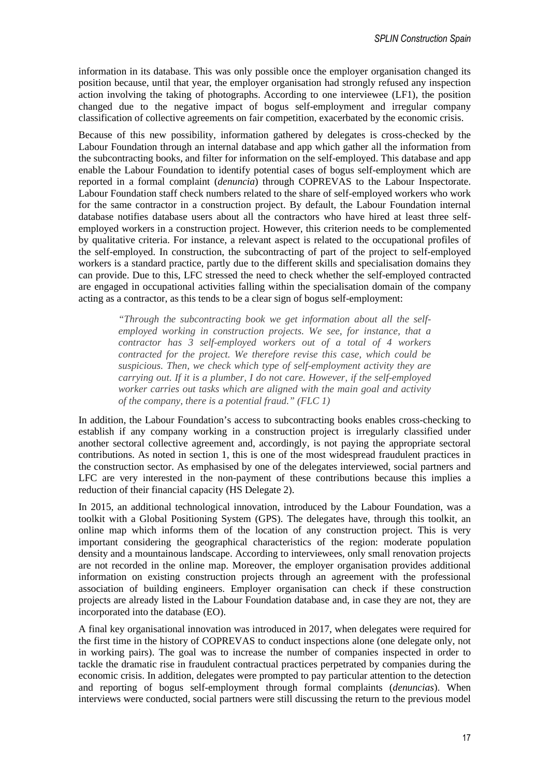information in its database. This was only possible once the employer organisation changed its position because, until that year, the employer organisation had strongly refused any inspection action involving the taking of photographs. According to one interviewee (LF1), the position changed due to the negative impact of bogus self-employment and irregular company classification of collective agreements on fair competition, exacerbated by the economic crisis.

Because of this new possibility, information gathered by delegates is cross-checked by the Labour Foundation through an internal database and app which gather all the information from the subcontracting books, and filter for information on the self-employed. This database and app enable the Labour Foundation to identify potential cases of bogus self-employment which are reported in a formal complaint (*denuncia*) through COPREVAS to the Labour Inspectorate. Labour Foundation staff check numbers related to the share of self-employed workers who work for the same contractor in a construction project. By default, the Labour Foundation internal database notifies database users about all the contractors who have hired at least three selfemployed workers in a construction project. However, this criterion needs to be complemented by qualitative criteria. For instance, a relevant aspect is related to the occupational profiles of the self-employed. In construction, the subcontracting of part of the project to self-employed workers is a standard practice, partly due to the different skills and specialisation domains they can provide. Due to this, LFC stressed the need to check whether the self-employed contracted are engaged in occupational activities falling within the specialisation domain of the company acting as a contractor, as this tends to be a clear sign of bogus self-employment:

> *"Through the subcontracting book we get information about all the selfemployed working in construction projects. We see, for instance, that a contractor has 3 self-employed workers out of a total of 4 workers contracted for the project. We therefore revise this case, which could be suspicious. Then, we check which type of self-employment activity they are carrying out. If it is a plumber, I do not care. However, if the self-employed worker carries out tasks which are aligned with the main goal and activity of the company, there is a potential fraud." (FLC 1)*

In addition, the Labour Foundation's access to subcontracting books enables cross-checking to establish if any company working in a construction project is irregularly classified under another sectoral collective agreement and, accordingly, is not paying the appropriate sectoral contributions. As noted in section 1, this is one of the most widespread fraudulent practices in the construction sector. As emphasised by one of the delegates interviewed, social partners and LFC are very interested in the non-payment of these contributions because this implies a reduction of their financial capacity (HS Delegate 2).

In 2015, an additional technological innovation, introduced by the Labour Foundation, was a toolkit with a Global Positioning System (GPS). The delegates have, through this toolkit, an online map which informs them of the location of any construction project. This is very important considering the geographical characteristics of the region: moderate population density and a mountainous landscape. According to interviewees, only small renovation projects are not recorded in the online map. Moreover, the employer organisation provides additional information on existing construction projects through an agreement with the professional association of building engineers. Employer organisation can check if these construction projects are already listed in the Labour Foundation database and, in case they are not, they are incorporated into the database (EO).

A final key organisational innovation was introduced in 2017, when delegates were required for the first time in the history of COPREVAS to conduct inspections alone (one delegate only, not in working pairs). The goal was to increase the number of companies inspected in order to tackle the dramatic rise in fraudulent contractual practices perpetrated by companies during the economic crisis. In addition, delegates were prompted to pay particular attention to the detection and reporting of bogus self-employment through formal complaints (*denuncias*). When interviews were conducted, social partners were still discussing the return to the previous model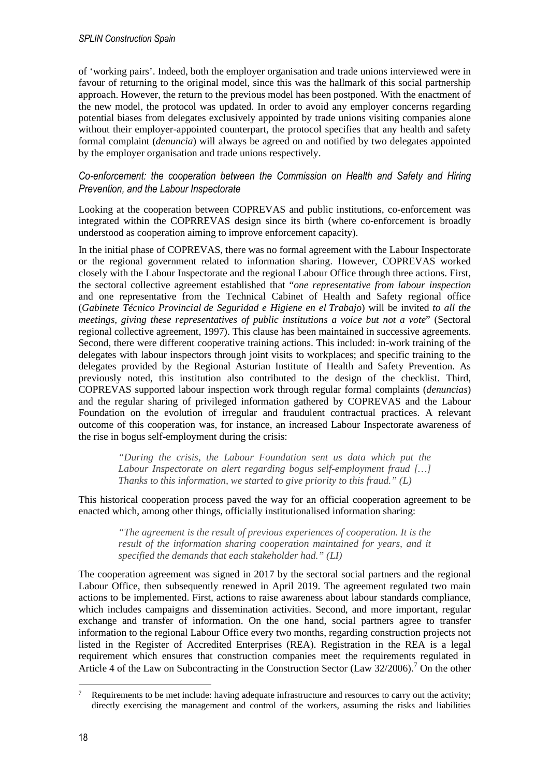of 'working pairs'. Indeed, both the employer organisation and trade unions interviewed were in favour of returning to the original model, since this was the hallmark of this social partnership approach. However, the return to the previous model has been postponed. With the enactment of the new model, the protocol was updated. In order to avoid any employer concerns regarding potential biases from delegates exclusively appointed by trade unions visiting companies alone without their employer-appointed counterpart, the protocol specifies that any health and safety formal complaint (*denuncia*) will always be agreed on and notified by two delegates appointed by the employer organisation and trade unions respectively.

### *Co-enforcement: the cooperation between the Commission on Health and Safety and Hiring Prevention, and the Labour Inspectorate*

Looking at the cooperation between COPREVAS and public institutions, co-enforcement was integrated within the COPRREVAS design since its birth (where co-enforcement is broadly understood as cooperation aiming to improve enforcement capacity).

In the initial phase of COPREVAS, there was no formal agreement with the Labour Inspectorate or the regional government related to information sharing. However, COPREVAS worked closely with the Labour Inspectorate and the regional Labour Office through three actions. First, the sectoral collective agreement established that "*one representative from labour inspection*  and one representative from the Technical Cabinet of Health and Safety regional office (*Gabinete Técnico Provincial de Seguridad e Higiene en el Trabajo*) will be invited *to all the meetings, giving these representatives of public institutions a voice but not a vote*" (Sectoral regional collective agreement, 1997). This clause has been maintained in successive agreements. Second, there were different cooperative training actions. This included: in-work training of the delegates with labour inspectors through joint visits to workplaces; and specific training to the delegates provided by the Regional Asturian Institute of Health and Safety Prevention. As previously noted, this institution also contributed to the design of the checklist. Third, COPREVAS supported labour inspection work through regular formal complaints (*denuncias*) and the regular sharing of privileged information gathered by COPREVAS and the Labour Foundation on the evolution of irregular and fraudulent contractual practices. A relevant outcome of this cooperation was, for instance, an increased Labour Inspectorate awareness of the rise in bogus self-employment during the crisis:

> *"During the crisis, the Labour Foundation sent us data which put the Labour Inspectorate on alert regarding bogus self-employment fraud […] Thanks to this information, we started to give priority to this fraud." (L)*

This historical cooperation process paved the way for an official cooperation agreement to be enacted which, among other things, officially institutionalised information sharing:

*"The agreement is the result of previous experiences of cooperation. It is the result of the information sharing cooperation maintained for years, and it specified the demands that each stakeholder had." (LI)* 

The cooperation agreement was signed in 2017 by the sectoral social partners and the regional Labour Office, then subsequently renewed in April 2019. The agreement regulated two main actions to be implemented. First, actions to raise awareness about labour standards compliance, which includes campaigns and dissemination activities. Second, and more important, regular exchange and transfer of information. On the one hand, social partners agree to transfer information to the regional Labour Office every two months, regarding construction projects not listed in the Register of Accredited Enterprises (REA). Registration in the REA is a legal requirement which ensures that construction companies meet the requirements regulated in Article 4 of the Law on Subcontracting in the Construction Sector (Law  $32/2006$ ).<sup>7</sup> On the other

<sup>7</sup> Requirements to be met include: having adequate infrastructure and resources to carry out the activity; directly exercising the management and control of the workers, assuming the risks and liabilities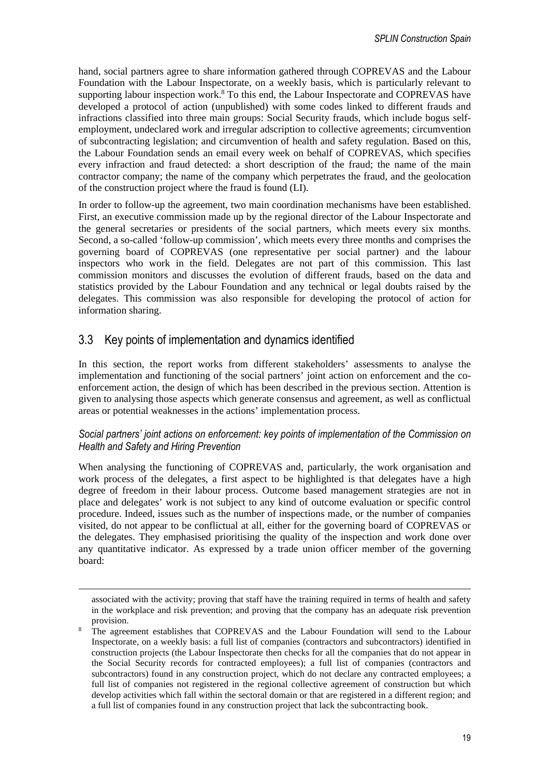hand, social partners agree to share information gathered through COPREVAS and the Labour Foundation with the Labour Inspectorate, on a weekly basis, which is particularly relevant to supporting labour inspection work.<sup>8</sup> To this end, the Labour Inspectorate and COPREVAS have developed a protocol of action (unpublished) with some codes linked to different frauds and infractions classified into three main groups: Social Security frauds, which include bogus selfemployment, undeclared work and irregular adscription to collective agreements; circumvention of subcontracting legislation; and circumvention of health and safety regulation. Based on this, the Labour Foundation sends an email every week on behalf of COPREVAS, which specifies every infraction and fraud detected: a short description of the fraud; the name of the main contractor company; the name of the company which perpetrates the fraud, and the geolocation of the construction project where the fraud is found (LI).

In order to follow-up the agreement, two main coordination mechanisms have been established. First, an executive commission made up by the regional director of the Labour Inspectorate and the general secretaries or presidents of the social partners, which meets every six months. Second, a so-called 'follow-up commission', which meets every three months and comprises the governing board of COPREVAS (one representative per social partner) and the labour inspectors who work in the field. Delegates are not part of this commission. This last commission monitors and discusses the evolution of different frauds, based on the data and statistics provided by the Labour Foundation and any technical or legal doubts raised by the delegates. This commission was also responsible for developing the protocol of action for information sharing.

### 3.3 Key points of implementation and dynamics identified

In this section, the report works from different stakeholders' assessments to analyse the implementation and functioning of the social partners' joint action on enforcement and the coenforcement action, the design of which has been described in the previous section. Attention is given to analysing those aspects which generate consensus and agreement, as well as conflictual areas or potential weaknesses in the actions' implementation process.

### *Social partners' joint actions on enforcement: key points of implementation of the Commission on Health and Safety and Hiring Prevention*

When analysing the functioning of COPREVAS and, particularly, the work organisation and work process of the delegates, a first aspect to be highlighted is that delegates have a high degree of freedom in their labour process. Outcome based management strategies are not in place and delegates' work is not subject to any kind of outcome evaluation or specific control procedure. Indeed, issues such as the number of inspections made, or the number of companies visited, do not appear to be conflictual at all, either for the governing board of COPREVAS or the delegates. They emphasised prioritising the quality of the inspection and work done over any quantitative indicator. As expressed by a trade union officer member of the governing board:

associated with the activity; proving that staff have the training required in terms of health and safety in the workplace and risk prevention; and proving that the company has an adequate risk prevention provision.

<sup>8</sup> The agreement establishes that COPREVAS and the Labour Foundation will send to the Labour Inspectorate, on a weekly basis: a full list of companies (contractors and subcontractors) identified in construction projects (the Labour Inspectorate then checks for all the companies that do not appear in the Social Security records for contracted employees); a full list of companies (contractors and subcontractors) found in any construction project, which do not declare any contracted employees; a full list of companies not registered in the regional collective agreement of construction but which develop activities which fall within the sectoral domain or that are registered in a different region; and a full list of companies found in any construction project that lack the subcontracting book.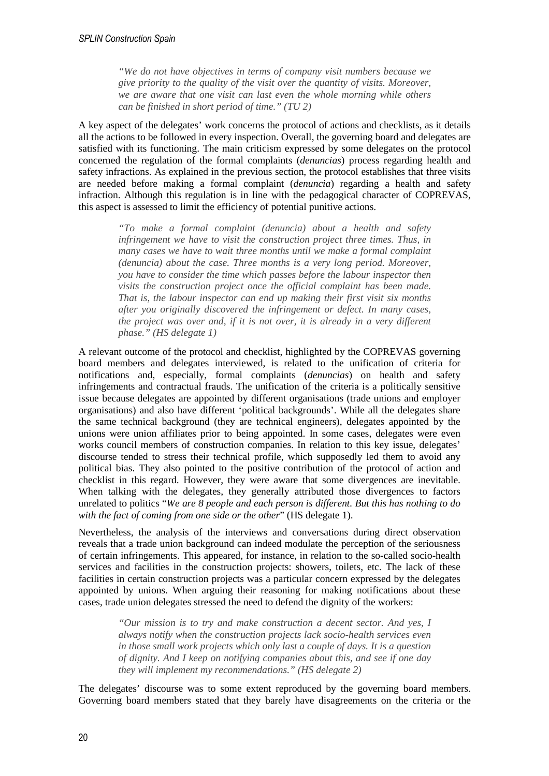*"We do not have objectives in terms of company visit numbers because we give priority to the quality of the visit over the quantity of visits. Moreover, we are aware that one visit can last even the whole morning while others can be finished in short period of time." (TU 2)* 

A key aspect of the delegates' work concerns the protocol of actions and checklists, as it details all the actions to be followed in every inspection. Overall, the governing board and delegates are satisfied with its functioning. The main criticism expressed by some delegates on the protocol concerned the regulation of the formal complaints (*denuncias*) process regarding health and safety infractions. As explained in the previous section, the protocol establishes that three visits are needed before making a formal complaint (*denuncia*) regarding a health and safety infraction. Although this regulation is in line with the pedagogical character of COPREVAS, this aspect is assessed to limit the efficiency of potential punitive actions.

*"To make a formal complaint (denuncia) about a health and safety infringement we have to visit the construction project three times. Thus, in many cases we have to wait three months until we make a formal complaint (denuncia) about the case. Three months is a very long period. Moreover, you have to consider the time which passes before the labour inspector then visits the construction project once the official complaint has been made. That is, the labour inspector can end up making their first visit six months after you originally discovered the infringement or defect. In many cases, the project was over and, if it is not over, it is already in a very different phase." (HS delegate 1)* 

A relevant outcome of the protocol and checklist, highlighted by the COPREVAS governing board members and delegates interviewed, is related to the unification of criteria for notifications and, especially, formal complaints (*denuncias*) on health and safety infringements and contractual frauds. The unification of the criteria is a politically sensitive issue because delegates are appointed by different organisations (trade unions and employer organisations) and also have different 'political backgrounds'. While all the delegates share the same technical background (they are technical engineers), delegates appointed by the unions were union affiliates prior to being appointed. In some cases, delegates were even works council members of construction companies. In relation to this key issue, delegates' discourse tended to stress their technical profile, which supposedly led them to avoid any political bias. They also pointed to the positive contribution of the protocol of action and checklist in this regard. However, they were aware that some divergences are inevitable. When talking with the delegates, they generally attributed those divergences to factors unrelated to politics "*We are 8 people and each person is different. But this has nothing to do with the fact of coming from one side or the other*" (HS delegate 1).

Nevertheless, the analysis of the interviews and conversations during direct observation reveals that a trade union background can indeed modulate the perception of the seriousness of certain infringements. This appeared, for instance, in relation to the so-called socio-health services and facilities in the construction projects: showers, toilets, etc. The lack of these facilities in certain construction projects was a particular concern expressed by the delegates appointed by unions. When arguing their reasoning for making notifications about these cases, trade union delegates stressed the need to defend the dignity of the workers:

> *"Our mission is to try and make construction a decent sector. And yes, I always notify when the construction projects lack socio-health services even in those small work projects which only last a couple of days. It is a question of dignity. And I keep on notifying companies about this, and see if one day they will implement my recommendations." (HS delegate 2)*

The delegates' discourse was to some extent reproduced by the governing board members. Governing board members stated that they barely have disagreements on the criteria or the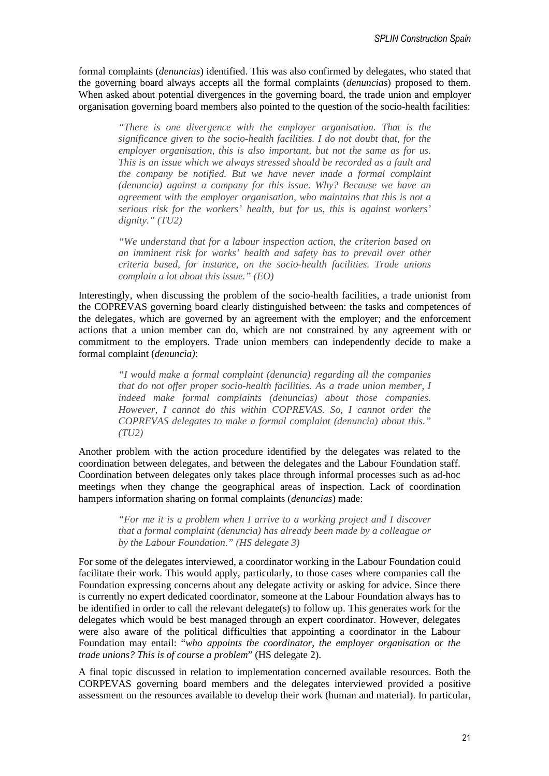formal complaints (*denuncias*) identified. This was also confirmed by delegates, who stated that the governing board always accepts all the formal complaints (*denuncias*) proposed to them. When asked about potential divergences in the governing board, the trade union and employer organisation governing board members also pointed to the question of the socio-health facilities:

*"There is one divergence with the employer organisation. That is the significance given to the socio-health facilities. I do not doubt that, for the employer organisation, this is also important, but not the same as for us. This is an issue which we always stressed should be recorded as a fault and the company be notified. But we have never made a formal complaint (denuncia) against a company for this issue. Why? Because we have an agreement with the employer organisation, who maintains that this is not a serious risk for the workers' health, but for us, this is against workers' dignity." (TU2)* 

*"We understand that for a labour inspection action, the criterion based on an imminent risk for works' health and safety has to prevail over other criteria based, for instance, on the socio-health facilities. Trade unions complain a lot about this issue." (EO)* 

Interestingly, when discussing the problem of the socio-health facilities, a trade unionist from the COPREVAS governing board clearly distinguished between: the tasks and competences of the delegates, which are governed by an agreement with the employer; and the enforcement actions that a union member can do, which are not constrained by any agreement with or commitment to the employers. Trade union members can independently decide to make a formal complaint (*denuncia)*:

*"I would make a formal complaint (denuncia) regarding all the companies that do not offer proper socio-health facilities. As a trade union member, I indeed make formal complaints (denuncias) about those companies. However, I cannot do this within COPREVAS. So, I cannot order the COPREVAS delegates to make a formal complaint (denuncia) about this." (TU2)* 

Another problem with the action procedure identified by the delegates was related to the coordination between delegates, and between the delegates and the Labour Foundation staff. Coordination between delegates only takes place through informal processes such as ad-hoc meetings when they change the geographical areas of inspection. Lack of coordination hampers information sharing on formal complaints (*denuncias*) made:

> *"For me it is a problem when I arrive to a working project and I discover that a formal complaint (denuncia) has already been made by a colleague or by the Labour Foundation." (HS delegate 3)*

For some of the delegates interviewed, a coordinator working in the Labour Foundation could facilitate their work. This would apply, particularly, to those cases where companies call the Foundation expressing concerns about any delegate activity or asking for advice. Since there is currently no expert dedicated coordinator, someone at the Labour Foundation always has to be identified in order to call the relevant delegate(s) to follow up. This generates work for the delegates which would be best managed through an expert coordinator. However, delegates were also aware of the political difficulties that appointing a coordinator in the Labour Foundation may entail: "*who appoints the coordinator, the employer organisation or the trade unions? This is of course a problem*" (HS delegate 2).

A final topic discussed in relation to implementation concerned available resources. Both the CORPEVAS governing board members and the delegates interviewed provided a positive assessment on the resources available to develop their work (human and material). In particular,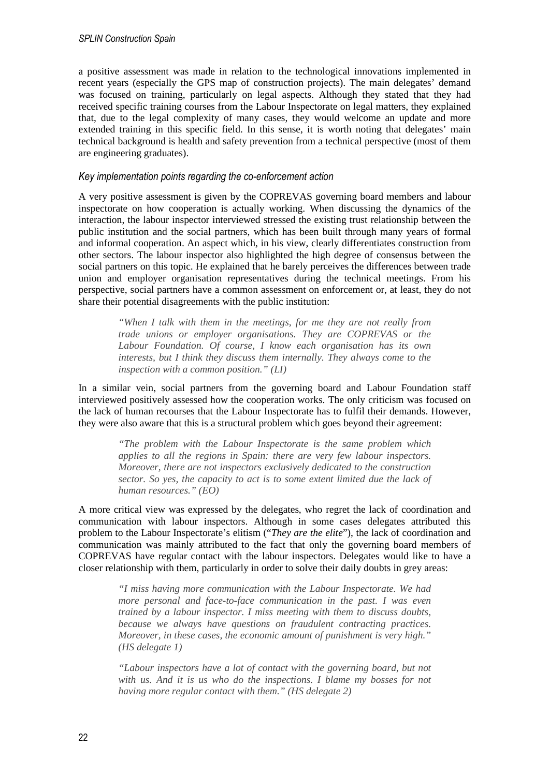a positive assessment was made in relation to the technological innovations implemented in recent years (especially the GPS map of construction projects). The main delegates' demand was focused on training, particularly on legal aspects. Although they stated that they had received specific training courses from the Labour Inspectorate on legal matters, they explained that, due to the legal complexity of many cases, they would welcome an update and more extended training in this specific field. In this sense, it is worth noting that delegates' main technical background is health and safety prevention from a technical perspective (most of them are engineering graduates).

#### *Key implementation points regarding the co-enforcement action*

A very positive assessment is given by the COPREVAS governing board members and labour inspectorate on how cooperation is actually working. When discussing the dynamics of the interaction, the labour inspector interviewed stressed the existing trust relationship between the public institution and the social partners, which has been built through many years of formal and informal cooperation. An aspect which, in his view, clearly differentiates construction from other sectors. The labour inspector also highlighted the high degree of consensus between the social partners on this topic. He explained that he barely perceives the differences between trade union and employer organisation representatives during the technical meetings. From his perspective, social partners have a common assessment on enforcement or, at least, they do not share their potential disagreements with the public institution:

*"When I talk with them in the meetings, for me they are not really from trade unions or employer organisations. They are COPREVAS or the Labour Foundation. Of course, I know each organisation has its own interests, but I think they discuss them internally. They always come to the inspection with a common position." (LI)* 

In a similar vein, social partners from the governing board and Labour Foundation staff interviewed positively assessed how the cooperation works. The only criticism was focused on the lack of human recourses that the Labour Inspectorate has to fulfil their demands. However, they were also aware that this is a structural problem which goes beyond their agreement:

*"The problem with the Labour Inspectorate is the same problem which applies to all the regions in Spain: there are very few labour inspectors. Moreover, there are not inspectors exclusively dedicated to the construction sector. So yes, the capacity to act is to some extent limited due the lack of human resources." (EO)* 

A more critical view was expressed by the delegates, who regret the lack of coordination and communication with labour inspectors. Although in some cases delegates attributed this problem to the Labour Inspectorate's elitism ("*They are the elite*"), the lack of coordination and communication was mainly attributed to the fact that only the governing board members of COPREVAS have regular contact with the labour inspectors. Delegates would like to have a closer relationship with them, particularly in order to solve their daily doubts in grey areas:

*"I miss having more communication with the Labour Inspectorate. We had more personal and face-to-face communication in the past. I was even trained by a labour inspector. I miss meeting with them to discuss doubts, because we always have questions on fraudulent contracting practices. Moreover, in these cases, the economic amount of punishment is very high." (HS delegate 1)* 

*"Labour inspectors have a lot of contact with the governing board, but not with us. And it is us who do the inspections. I blame my bosses for not having more regular contact with them." (HS delegate 2)*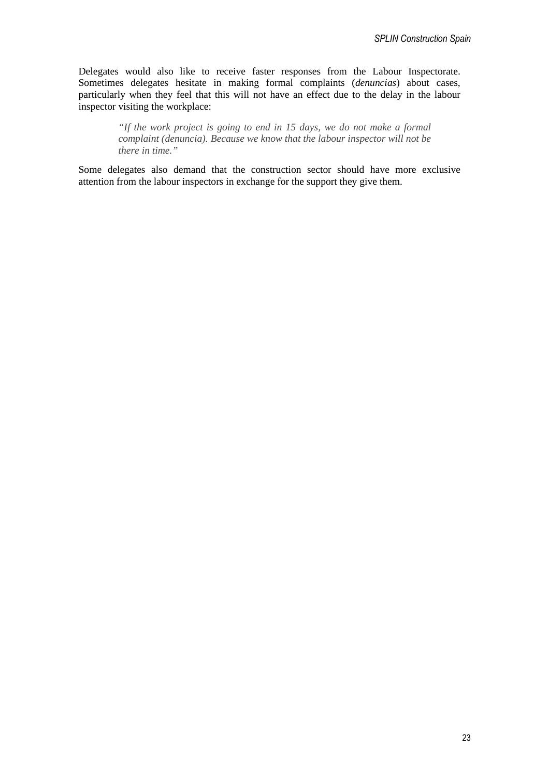Delegates would also like to receive faster responses from the Labour Inspectorate. Sometimes delegates hesitate in making formal complaints (*denuncias*) about cases, particularly when they feel that this will not have an effect due to the delay in the labour inspector visiting the workplace:

> *"If the work project is going to end in 15 days, we do not make a formal complaint (denuncia). Because we know that the labour inspector will not be there in time."*

Some delegates also demand that the construction sector should have more exclusive attention from the labour inspectors in exchange for the support they give them.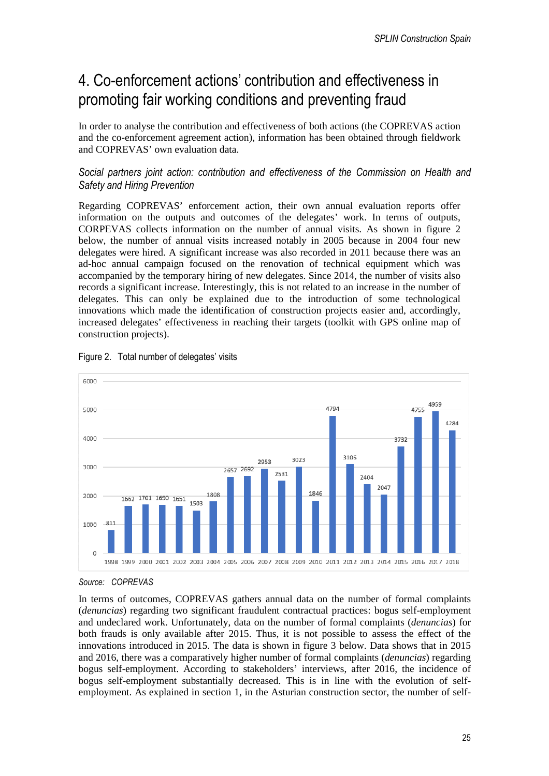# 4. Co-enforcement actions' contribution and effectiveness in promoting fair working conditions and preventing fraud

In order to analyse the contribution and effectiveness of both actions (the COPREVAS action and the co-enforcement agreement action), information has been obtained through fieldwork and COPREVAS' own evaluation data.

### *Social partners joint action: contribution and effectiveness of the Commission on Health and Safety and Hiring Prevention*

Regarding COPREVAS' enforcement action, their own annual evaluation reports offer information on the outputs and outcomes of the delegates' work. In terms of outputs, CORPEVAS collects information on the number of annual visits. As shown in figure 2 below, the number of annual visits increased notably in 2005 because in 2004 four new delegates were hired. A significant increase was also recorded in 2011 because there was an ad-hoc annual campaign focused on the renovation of technical equipment which was accompanied by the temporary hiring of new delegates. Since 2014, the number of visits also records a significant increase. Interestingly, this is not related to an increase in the number of delegates. This can only be explained due to the introduction of some technological innovations which made the identification of construction projects easier and, accordingly, increased delegates' effectiveness in reaching their targets (toolkit with GPS online map of construction projects).





*Source: COPREVAS* 

In terms of outcomes, COPREVAS gathers annual data on the number of formal complaints (*denuncias*) regarding two significant fraudulent contractual practices: bogus self-employment and undeclared work. Unfortunately, data on the number of formal complaints (*denuncias*) for both frauds is only available after 2015. Thus, it is not possible to assess the effect of the innovations introduced in 2015. The data is shown in figure 3 below. Data shows that in 2015 and 2016, there was a comparatively higher number of formal complaints (*denuncias*) regarding bogus self-employment. According to stakeholders' interviews, after 2016, the incidence of bogus self-employment substantially decreased. This is in line with the evolution of selfemployment. As explained in section 1, in the Asturian construction sector, the number of self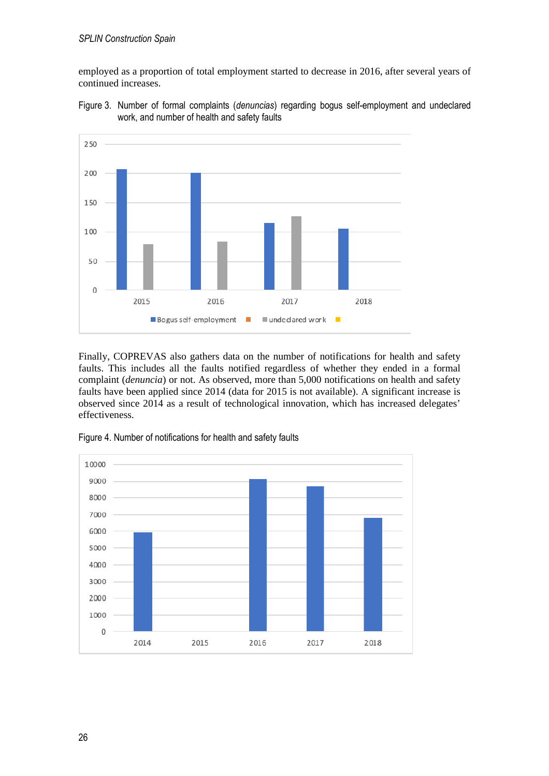employed as a proportion of total employment started to decrease in 2016, after several years of continued increases.



Figure 3. Number of formal complaints (*denuncias*) regarding bogus self-employment and undeclared work, and number of health and safety faults

Finally, COPREVAS also gathers data on the number of notifications for health and safety faults. This includes all the faults notified regardless of whether they ended in a formal complaint (*denuncia*) or not. As observed, more than 5,000 notifications on health and safety faults have been applied since 2014 (data for 2015 is not available). A significant increase is observed since 2014 as a result of technological innovation, which has increased delegates' effectiveness.



Figure 4. Number of notifications for health and safety faults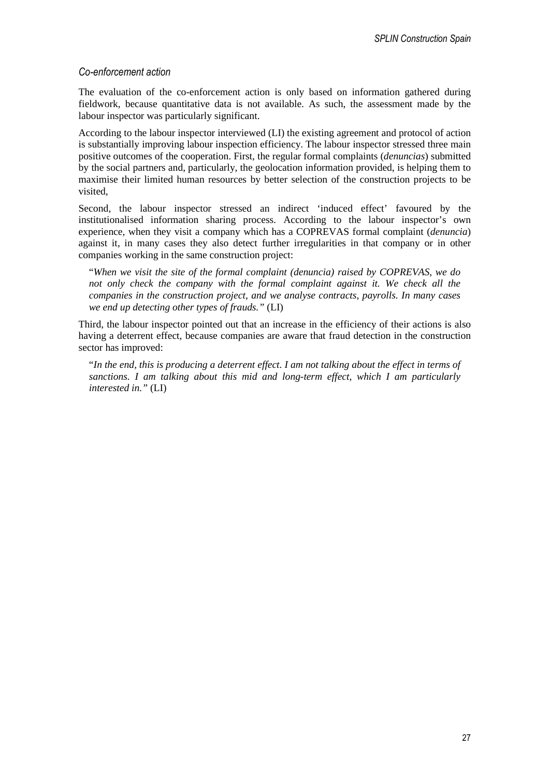### *Co-enforcement action*

The evaluation of the co-enforcement action is only based on information gathered during fieldwork, because quantitative data is not available. As such, the assessment made by the labour inspector was particularly significant.

According to the labour inspector interviewed (LI) the existing agreement and protocol of action is substantially improving labour inspection efficiency. The labour inspector stressed three main positive outcomes of the cooperation. First, the regular formal complaints (*denuncias*) submitted by the social partners and, particularly, the geolocation information provided, is helping them to maximise their limited human resources by better selection of the construction projects to be visited,

Second, the labour inspector stressed an indirect 'induced effect' favoured by the institutionalised information sharing process. According to the labour inspector's own experience, when they visit a company which has a COPREVAS formal complaint (*denuncia*) against it, in many cases they also detect further irregularities in that company or in other companies working in the same construction project:

"*When we visit the site of the formal complaint (denuncia) raised by COPREVAS, we do not only check the company with the formal complaint against it. We check all the companies in the construction project, and we analyse contracts, payrolls. In many cases we end up detecting other types of frauds."* (LI)

Third, the labour inspector pointed out that an increase in the efficiency of their actions is also having a deterrent effect, because companies are aware that fraud detection in the construction sector has improved:

"*In the end, this is producing a deterrent effect. I am not talking about the effect in terms of sanctions. I am talking about this mid and long-term effect, which I am particularly interested in."* (LI)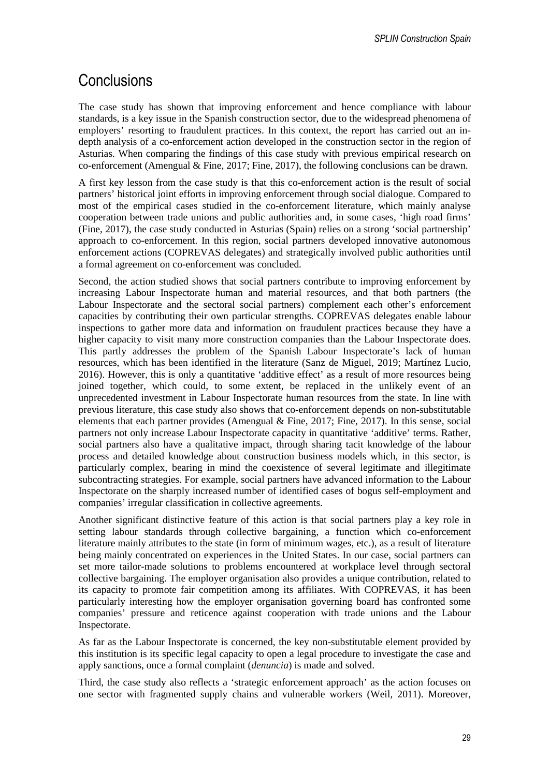# **Conclusions**

The case study has shown that improving enforcement and hence compliance with labour standards, is a key issue in the Spanish construction sector, due to the widespread phenomena of employers' resorting to fraudulent practices. In this context, the report has carried out an indepth analysis of a co-enforcement action developed in the construction sector in the region of Asturias. When comparing the findings of this case study with previous empirical research on co-enforcement (Amengual & Fine, 2017; Fine, 2017), the following conclusions can be drawn.

A first key lesson from the case study is that this co-enforcement action is the result of social partners' historical joint efforts in improving enforcement through social dialogue. Compared to most of the empirical cases studied in the co-enforcement literature, which mainly analyse cooperation between trade unions and public authorities and, in some cases, 'high road firms' (Fine, 2017), the case study conducted in Asturias (Spain) relies on a strong 'social partnership' approach to co-enforcement. In this region, social partners developed innovative autonomous enforcement actions (COPREVAS delegates) and strategically involved public authorities until a formal agreement on co-enforcement was concluded.

Second, the action studied shows that social partners contribute to improving enforcement by increasing Labour Inspectorate human and material resources, and that both partners (the Labour Inspectorate and the sectoral social partners) complement each other's enforcement capacities by contributing their own particular strengths. COPREVAS delegates enable labour inspections to gather more data and information on fraudulent practices because they have a higher capacity to visit many more construction companies than the Labour Inspectorate does. This partly addresses the problem of the Spanish Labour Inspectorate's lack of human resources, which has been identified in the literature (Sanz de Miguel, 2019; Martínez Lucio, 2016). However, this is only a quantitative 'additive effect' as a result of more resources being joined together, which could, to some extent, be replaced in the unlikely event of an unprecedented investment in Labour Inspectorate human resources from the state. In line with previous literature, this case study also shows that co-enforcement depends on non-substitutable elements that each partner provides (Amengual & Fine, 2017; Fine, 2017). In this sense, social partners not only increase Labour Inspectorate capacity in quantitative 'additive' terms. Rather, social partners also have a qualitative impact, through sharing tacit knowledge of the labour process and detailed knowledge about construction business models which, in this sector, is particularly complex, bearing in mind the coexistence of several legitimate and illegitimate subcontracting strategies. For example, social partners have advanced information to the Labour Inspectorate on the sharply increased number of identified cases of bogus self-employment and companies' irregular classification in collective agreements.

Another significant distinctive feature of this action is that social partners play a key role in setting labour standards through collective bargaining, a function which co-enforcement literature mainly attributes to the state (in form of minimum wages, etc.), as a result of literature being mainly concentrated on experiences in the United States. In our case, social partners can set more tailor-made solutions to problems encountered at workplace level through sectoral collective bargaining. The employer organisation also provides a unique contribution, related to its capacity to promote fair competition among its affiliates. With COPREVAS, it has been particularly interesting how the employer organisation governing board has confronted some companies' pressure and reticence against cooperation with trade unions and the Labour Inspectorate.

As far as the Labour Inspectorate is concerned, the key non-substitutable element provided by this institution is its specific legal capacity to open a legal procedure to investigate the case and apply sanctions, once a formal complaint (*denuncia*) is made and solved.

Third, the case study also reflects a 'strategic enforcement approach' as the action focuses on one sector with fragmented supply chains and vulnerable workers (Weil, 2011). Moreover,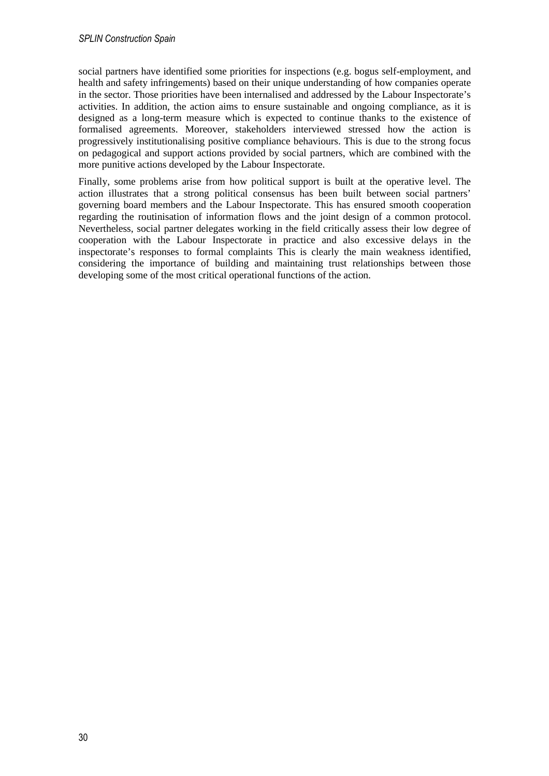social partners have identified some priorities for inspections (e.g. bogus self-employment, and health and safety infringements) based on their unique understanding of how companies operate in the sector. Those priorities have been internalised and addressed by the Labour Inspectorate's activities. In addition, the action aims to ensure sustainable and ongoing compliance, as it is designed as a long-term measure which is expected to continue thanks to the existence of formalised agreements. Moreover, stakeholders interviewed stressed how the action is progressively institutionalising positive compliance behaviours. This is due to the strong focus on pedagogical and support actions provided by social partners, which are combined with the more punitive actions developed by the Labour Inspectorate.

Finally, some problems arise from how political support is built at the operative level. The action illustrates that a strong political consensus has been built between social partners' governing board members and the Labour Inspectorate. This has ensured smooth cooperation regarding the routinisation of information flows and the joint design of a common protocol. Nevertheless, social partner delegates working in the field critically assess their low degree of cooperation with the Labour Inspectorate in practice and also excessive delays in the inspectorate's responses to formal complaints This is clearly the main weakness identified, considering the importance of building and maintaining trust relationships between those developing some of the most critical operational functions of the action.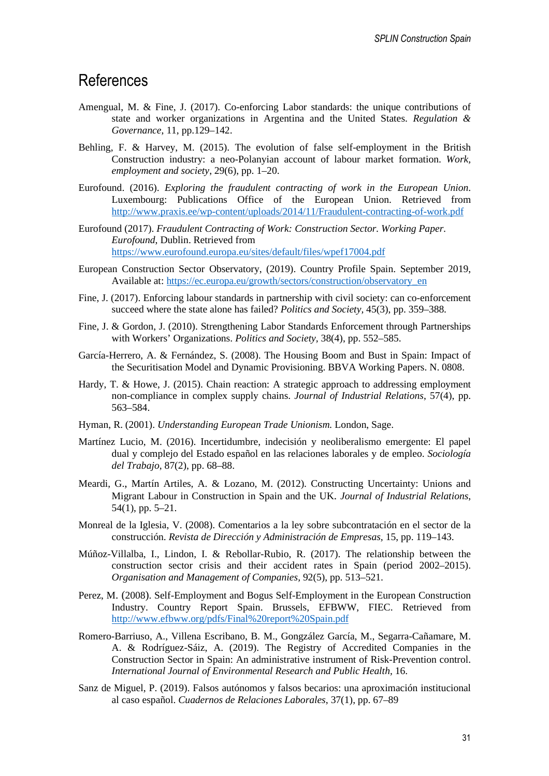### References

- Amengual, M. & Fine, J. (2017). Co-enforcing Labor standards: the unique contributions of state and worker organizations in Argentina and the United States. *Regulation & Governance*, 11, pp.129–142.
- Behling, F. & Harvey, M. (2015). The evolution of false self-employment in the British Construction industry: a neo-Polanyian account of labour market formation. *Work, employment and society*, 29(6), pp. 1–20.
- Eurofound. (2016). *Exploring the fraudulent contracting of work in the European Union*. Luxembourg: Publications Office of the European Union. Retrieved from http://www.praxis.ee/wp-content/uploads/2014/11/Fraudulent-contracting-of-work.pdf
- Eurofound (2017). *Fraudulent Contracting of Work: Construction Sector. Working Paper. Eurofound*, Dublin. Retrieved from https://www.eurofound.europa.eu/sites/default/files/wpef17004.pdf
- European Construction Sector Observatory, (2019). Country Profile Spain. September 2019, Available at: https://ec.europa.eu/growth/sectors/construction/observatory\_en
- Fine, J. (2017). Enforcing labour standards in partnership with civil society: can co-enforcement succeed where the state alone has failed? *Politics and Society,* 45(3), pp. 359–388.
- Fine, J. & Gordon, J. (2010). Strengthening Labor Standards Enforcement through Partnerships with Workers' Organizations. *Politics and Society,* 38(4), pp. 552–585.
- García-Herrero, A. & Fernández, S. (2008). The Housing Boom and Bust in Spain: Impact of the Securitisation Model and Dynamic Provisioning. BBVA Working Papers. N. 0808.
- Hardy, T. & Howe, J. (2015). Chain reaction: A strategic approach to addressing employment non-compliance in complex supply chains. *Journal of Industrial Relations*, 57(4), pp. 563–584.
- Hyman, R. (2001). *Understanding European Trade Unionism.* London, Sage.
- Martínez Lucio, M. (2016). Incertidumbre, indecisión y neoliberalismo emergente: El papel dual y complejo del Estado español en las relaciones laborales y de empleo. *Sociología del Trabajo*, 87(2), pp. 68–88.
- Meardi, G., Martín Artiles, A. & Lozano, M. (2012). Constructing Uncertainty: Unions and Migrant Labour in Construction in Spain and the UK. *Journal of Industrial Relations*, 54(1), pp. 5–21.
- Monreal de la Iglesia, V. (2008). Comentarios a la ley sobre subcontratación en el sector de la construcción. *Revista de Dirección y Administración de Empresas,* 15, pp. 119–143.
- Múñoz-Villalba, I., Lindon, I. & Rebollar-Rubio, R. (2017). The relationship between the construction sector crisis and their accident rates in Spain (period 2002–2015). *Organisation and Management of Companies,* 92(5), pp. 513–521.
- Perez, M. (2008). Self-Employment and Bogus Self-Employment in the European Construction Industry. Country Report Spain. Brussels, EFBWW, FIEC. Retrieved from http://www.efbww.org/pdfs/Final%20report%20Spain.pdf
- Romero-Barriuso, A., Villena Escribano, B. M., Gongzález García, M., Segarra-Cañamare, M. A. & Rodríguez-Sáiz, A. (2019). The Registry of Accredited Companies in the Construction Sector in Spain: An administrative instrument of Risk-Prevention control. *International Journal of Environmental Research and Public Health,* 16.
- Sanz de Miguel, P. (2019). Falsos autónomos y falsos becarios: una aproximación institucional al caso español. *Cuadernos de Relaciones Laborales*, 37(1), pp. 67–89